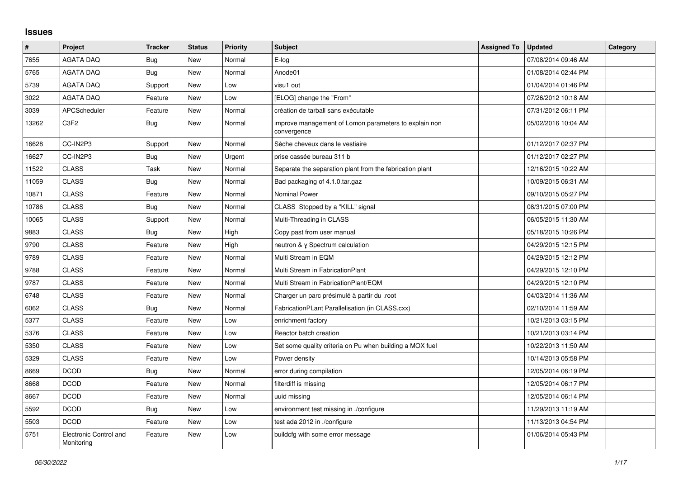## **Issues**

| $\vert$ # | Project                              | <b>Tracker</b> | <b>Status</b> | <b>Priority</b> | <b>Subject</b>                                                       | <b>Assigned To</b> | <b>Updated</b>      | Category |
|-----------|--------------------------------------|----------------|---------------|-----------------|----------------------------------------------------------------------|--------------------|---------------------|----------|
| 7655      | <b>AGATA DAQ</b>                     | Bug            | <b>New</b>    | Normal          | E-log                                                                |                    | 07/08/2014 09:46 AM |          |
| 5765      | <b>AGATA DAQ</b>                     | Bug            | <b>New</b>    | Normal          | Anode01                                                              |                    | 01/08/2014 02:44 PM |          |
| 5739      | AGATA DAQ                            | Support        | New           | Low             | visu1 out                                                            |                    | 01/04/2014 01:46 PM |          |
| 3022      | <b>AGATA DAQ</b>                     | Feature        | <b>New</b>    | Low             | [ELOG] change the "From"                                             |                    | 07/26/2012 10:18 AM |          |
| 3039      | <b>APCScheduler</b>                  | Feature        | New           | Normal          | création de tarball sans exécutable                                  |                    | 07/31/2012 06:11 PM |          |
| 13262     | C3F2                                 | <b>Bug</b>     | New           | Normal          | improve management of Lomon parameters to explain non<br>convergence |                    | 05/02/2016 10:04 AM |          |
| 16628     | CC-IN2P3                             | Support        | New           | Normal          | Sèche cheveux dans le vestiaire                                      |                    | 01/12/2017 02:37 PM |          |
| 16627     | CC-IN2P3                             | <b>Bug</b>     | <b>New</b>    | Urgent          | prise cassée bureau 311 b                                            |                    | 01/12/2017 02:27 PM |          |
| 11522     | <b>CLASS</b>                         | Task           | <b>New</b>    | Normal          | Separate the separation plant from the fabrication plant             |                    | 12/16/2015 10:22 AM |          |
| 11059     | <b>CLASS</b>                         | <b>Bug</b>     | New           | Normal          | Bad packaging of 4.1.0.tar.gaz                                       |                    | 10/09/2015 06:31 AM |          |
| 10871     | <b>CLASS</b>                         | Feature        | <b>New</b>    | Normal          | <b>Nominal Power</b>                                                 |                    | 09/10/2015 05:27 PM |          |
| 10786     | <b>CLASS</b>                         | Bug            | <b>New</b>    | Normal          | CLASS Stopped by a "KILL" signal                                     |                    | 08/31/2015 07:00 PM |          |
| 10065     | <b>CLASS</b>                         | Support        | New           | Normal          | Multi-Threading in CLASS                                             |                    | 06/05/2015 11:30 AM |          |
| 9883      | <b>CLASS</b>                         | <b>Bug</b>     | <b>New</b>    | High            | Copy past from user manual                                           |                    | 05/18/2015 10:26 PM |          |
| 9790      | <b>CLASS</b>                         | Feature        | <b>New</b>    | High            | neutron & y Spectrum calculation                                     |                    | 04/29/2015 12:15 PM |          |
| 9789      | <b>CLASS</b>                         | Feature        | New           | Normal          | Multi Stream in EQM                                                  |                    | 04/29/2015 12:12 PM |          |
| 9788      | <b>CLASS</b>                         | Feature        | <b>New</b>    | Normal          | Multi Stream in FabricationPlant                                     |                    | 04/29/2015 12:10 PM |          |
| 9787      | <b>CLASS</b>                         | Feature        | <b>New</b>    | Normal          | Multi Stream in FabricationPlant/EQM                                 |                    | 04/29/2015 12:10 PM |          |
| 6748      | <b>CLASS</b>                         | Feature        | <b>New</b>    | Normal          | Charger un parc présimulé à partir du .root                          |                    | 04/03/2014 11:36 AM |          |
| 6062      | <b>CLASS</b>                         | Bug            | New           | Normal          | FabricationPLant Parallelisation (in CLASS.cxx)                      |                    | 02/10/2014 11:59 AM |          |
| 5377      | <b>CLASS</b>                         | Feature        | <b>New</b>    | Low             | enrichment factory                                                   |                    | 10/21/2013 03:15 PM |          |
| 5376      | <b>CLASS</b>                         | Feature        | <b>New</b>    | Low             | Reactor batch creation                                               |                    | 10/21/2013 03:14 PM |          |
| 5350      | <b>CLASS</b>                         | Feature        | <b>New</b>    | Low             | Set some quality criteria on Pu when building a MOX fuel             |                    | 10/22/2013 11:50 AM |          |
| 5329      | <b>CLASS</b>                         | Feature        | <b>New</b>    | Low             | Power density                                                        |                    | 10/14/2013 05:58 PM |          |
| 8669      | <b>DCOD</b>                          | <b>Bug</b>     | <b>New</b>    | Normal          | error during compilation                                             |                    | 12/05/2014 06:19 PM |          |
| 8668      | <b>DCOD</b>                          | Feature        | New           | Normal          | filterdiff is missing                                                |                    | 12/05/2014 06:17 PM |          |
| 8667      | <b>DCOD</b>                          | Feature        | <b>New</b>    | Normal          | uuid missing                                                         |                    | 12/05/2014 06:14 PM |          |
| 5592      | <b>DCOD</b>                          | Bug            | <b>New</b>    | Low             | environment test missing in ./configure                              |                    | 11/29/2013 11:19 AM |          |
| 5503      | <b>DCOD</b>                          | Feature        | New           | Low             | test ada 2012 in ./configure                                         |                    | 11/13/2013 04:54 PM |          |
| 5751      | Electronic Control and<br>Monitoring | Feature        | <b>New</b>    | Low             | buildcfg with some error message                                     |                    | 01/06/2014 05:43 PM |          |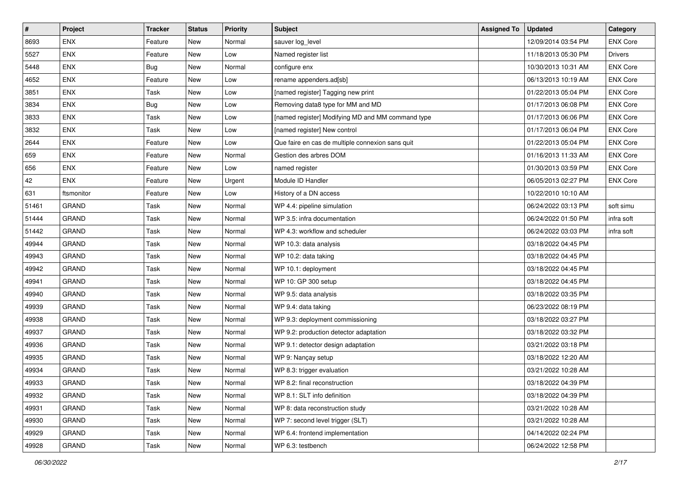| $\vert$ # | Project      | <b>Tracker</b> | <b>Status</b> | <b>Priority</b> | <b>Subject</b>                                    | <b>Assigned To</b> | <b>Updated</b>      | Category        |
|-----------|--------------|----------------|---------------|-----------------|---------------------------------------------------|--------------------|---------------------|-----------------|
| 8693      | <b>ENX</b>   | Feature        | <b>New</b>    | Normal          | sauver log_level                                  |                    | 12/09/2014 03:54 PM | <b>ENX Core</b> |
| 5527      | <b>ENX</b>   | Feature        | <b>New</b>    | Low             | Named register list                               |                    | 11/18/2013 05:30 PM | <b>Drivers</b>  |
| 5448      | <b>ENX</b>   | <b>Bug</b>     | New           | Normal          | configure enx                                     |                    | 10/30/2013 10:31 AM | <b>ENX Core</b> |
| 4652      | <b>ENX</b>   | Feature        | New           | Low             | rename appenders.ad[sb]                           |                    | 06/13/2013 10:19 AM | <b>ENX Core</b> |
| 3851      | <b>ENX</b>   | Task           | <b>New</b>    | Low             | [named register] Tagging new print                |                    | 01/22/2013 05:04 PM | <b>ENX Core</b> |
| 3834      | <b>ENX</b>   | Bug            | <b>New</b>    | Low             | Removing data8 type for MM and MD                 |                    | 01/17/2013 06:08 PM | <b>ENX Core</b> |
| 3833      | <b>ENX</b>   | Task           | <b>New</b>    | Low             | [named register] Modifying MD and MM command type |                    | 01/17/2013 06:06 PM | <b>ENX Core</b> |
| 3832      | <b>ENX</b>   | Task           | New           | Low             | [named register] New control                      |                    | 01/17/2013 06:04 PM | <b>ENX Core</b> |
| 2644      | <b>ENX</b>   | Feature        | New           | Low             | Que faire en cas de multiple connexion sans quit  |                    | 01/22/2013 05:04 PM | <b>ENX Core</b> |
| 659       | <b>ENX</b>   | Feature        | <b>New</b>    | Normal          | Gestion des arbres DOM                            |                    | 01/16/2013 11:33 AM | <b>ENX Core</b> |
| 656       | <b>ENX</b>   | Feature        | New           | Low             | named register                                    |                    | 01/30/2013 03:59 PM | <b>ENX Core</b> |
| 42        | <b>ENX</b>   | Feature        | <b>New</b>    | Urgent          | Module ID Handler                                 |                    | 06/05/2013 02:27 PM | <b>ENX Core</b> |
| 631       | ftsmonitor   | Feature        | New           | Low             | History of a DN access                            |                    | 10/22/2010 10:10 AM |                 |
| 51461     | <b>GRAND</b> | Task           | New           | Normal          | WP 4.4: pipeline simulation                       |                    | 06/24/2022 03:13 PM | soft simu       |
| 51444     | GRAND        | Task           | New           | Normal          | WP 3.5: infra documentation                       |                    | 06/24/2022 01:50 PM | infra soft      |
| 51442     | GRAND        | Task           | <b>New</b>    | Normal          | WP 4.3: workflow and scheduler                    |                    | 06/24/2022 03:03 PM | infra soft      |
| 49944     | <b>GRAND</b> | Task           | <b>New</b>    | Normal          | WP 10.3: data analysis                            |                    | 03/18/2022 04:45 PM |                 |
| 49943     | <b>GRAND</b> | Task           | <b>New</b>    | Normal          | WP 10.2: data taking                              |                    | 03/18/2022 04:45 PM |                 |
| 49942     | <b>GRAND</b> | Task           | <b>New</b>    | Normal          | WP 10.1: deployment                               |                    | 03/18/2022 04:45 PM |                 |
| 49941     | GRAND        | Task           | <b>New</b>    | Normal          | WP 10: GP 300 setup                               |                    | 03/18/2022 04:45 PM |                 |
| 49940     | <b>GRAND</b> | Task           | New           | Normal          | WP 9.5: data analysis                             |                    | 03/18/2022 03:35 PM |                 |
| 49939     | <b>GRAND</b> | Task           | New           | Normal          | WP 9.4: data taking                               |                    | 06/23/2022 08:19 PM |                 |
| 49938     | <b>GRAND</b> | Task           | <b>New</b>    | Normal          | WP 9.3: deployment commissioning                  |                    | 03/18/2022 03:27 PM |                 |
| 49937     | <b>GRAND</b> | Task           | New           | Normal          | WP 9.2: production detector adaptation            |                    | 03/18/2022 03:32 PM |                 |
| 49936     | GRAND        | Task           | <b>New</b>    | Normal          | WP 9.1: detector design adaptation                |                    | 03/21/2022 03:18 PM |                 |
| 49935     | <b>GRAND</b> | Task           | New           | Normal          | WP 9: Nançay setup                                |                    | 03/18/2022 12:20 AM |                 |
| 49934     | GRAND        | Task           | New           | Normal          | WP 8.3: trigger evaluation                        |                    | 03/21/2022 10:28 AM |                 |
| 49933     | GRAND        | Task           | New           | Normal          | WP 8.2: final reconstruction                      |                    | 03/18/2022 04:39 PM |                 |
| 49932     | GRAND        | Task           | New           | Normal          | WP 8.1: SLT info definition                       |                    | 03/18/2022 04:39 PM |                 |
| 49931     | <b>GRAND</b> | Task           | New           | Normal          | WP 8: data reconstruction study                   |                    | 03/21/2022 10:28 AM |                 |
| 49930     | <b>GRAND</b> | Task           | New           | Normal          | WP 7: second level trigger (SLT)                  |                    | 03/21/2022 10:28 AM |                 |
| 49929     | GRAND        | Task           | New           | Normal          | WP 6.4: frontend implementation                   |                    | 04/14/2022 02:24 PM |                 |
| 49928     | GRAND        | Task           | New           | Normal          | WP 6.3: testbench                                 |                    | 06/24/2022 12:58 PM |                 |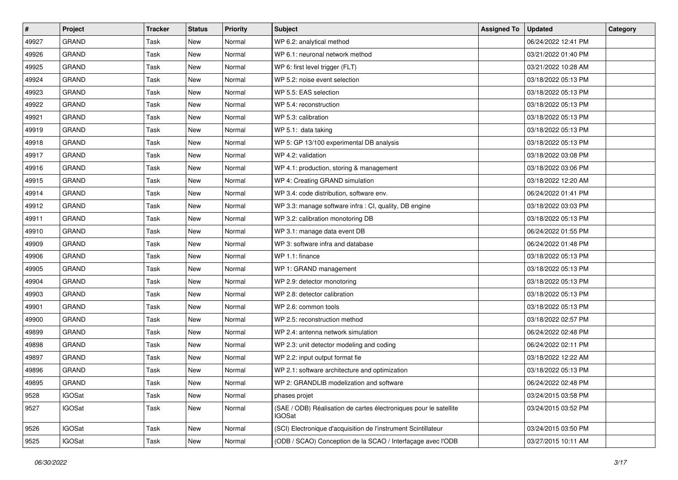| $\sharp$ | Project       | <b>Tracker</b> | <b>Status</b> | <b>Priority</b> | <b>Subject</b>                                                              | <b>Assigned To</b> | <b>Updated</b>      | Category |
|----------|---------------|----------------|---------------|-----------------|-----------------------------------------------------------------------------|--------------------|---------------------|----------|
| 49927    | <b>GRAND</b>  | Task           | <b>New</b>    | Normal          | WP 6.2: analytical method                                                   |                    | 06/24/2022 12:41 PM |          |
| 49926    | <b>GRAND</b>  | Task           | <b>New</b>    | Normal          | WP 6.1: neuronal network method                                             |                    | 03/21/2022 01:40 PM |          |
| 49925    | <b>GRAND</b>  | Task           | <b>New</b>    | Normal          | WP 6: first level trigger (FLT)                                             |                    | 03/21/2022 10:28 AM |          |
| 49924    | <b>GRAND</b>  | Task           | New           | Normal          | WP 5.2: noise event selection                                               |                    | 03/18/2022 05:13 PM |          |
| 49923    | <b>GRAND</b>  | Task           | <b>New</b>    | Normal          | WP 5.5: EAS selection                                                       |                    | 03/18/2022 05:13 PM |          |
| 49922    | <b>GRAND</b>  | Task           | <b>New</b>    | Normal          | WP 5.4: reconstruction                                                      |                    | 03/18/2022 05:13 PM |          |
| 49921    | <b>GRAND</b>  | Task           | <b>New</b>    | Normal          | WP 5.3: calibration                                                         |                    | 03/18/2022 05:13 PM |          |
| 49919    | <b>GRAND</b>  | Task           | New           | Normal          | WP 5.1: data taking                                                         |                    | 03/18/2022 05:13 PM |          |
| 49918    | <b>GRAND</b>  | Task           | New           | Normal          | WP 5: GP 13/100 experimental DB analysis                                    |                    | 03/18/2022 05:13 PM |          |
| 49917    | <b>GRAND</b>  | Task           | <b>New</b>    | Normal          | WP 4.2: validation                                                          |                    | 03/18/2022 03:08 PM |          |
| 49916    | <b>GRAND</b>  | Task           | <b>New</b>    | Normal          | WP 4.1: production, storing & management                                    |                    | 03/18/2022 03:06 PM |          |
| 49915    | <b>GRAND</b>  | Task           | New           | Normal          | WP 4: Creating GRAND simulation                                             |                    | 03/18/2022 12:20 AM |          |
| 49914    | <b>GRAND</b>  | Task           | New           | Normal          | WP 3.4: code distribution, software env.                                    |                    | 06/24/2022 01:41 PM |          |
| 49912    | <b>GRAND</b>  | Task           | New           | Normal          | WP 3.3: manage software infra : CI, quality, DB engine                      |                    | 03/18/2022 03:03 PM |          |
| 49911    | <b>GRAND</b>  | Task           | <b>New</b>    | Normal          | WP 3.2: calibration monotoring DB                                           |                    | 03/18/2022 05:13 PM |          |
| 49910    | <b>GRAND</b>  | Task           | New           | Normal          | WP 3.1: manage data event DB                                                |                    | 06/24/2022 01:55 PM |          |
| 49909    | <b>GRAND</b>  | Task           | New           | Normal          | WP 3: software infra and database                                           |                    | 06/24/2022 01:48 PM |          |
| 49906    | <b>GRAND</b>  | Task           | New           | Normal          | WP 1.1: finance                                                             |                    | 03/18/2022 05:13 PM |          |
| 49905    | <b>GRAND</b>  | Task           | New           | Normal          | WP 1: GRAND management                                                      |                    | 03/18/2022 05:13 PM |          |
| 49904    | <b>GRAND</b>  | Task           | <b>New</b>    | Normal          | WP 2.9: detector monotoring                                                 |                    | 03/18/2022 05:13 PM |          |
| 49903    | <b>GRAND</b>  | Task           | <b>New</b>    | Normal          | WP 2.8: detector calibration                                                |                    | 03/18/2022 05:13 PM |          |
| 49901    | <b>GRAND</b>  | Task           | New           | Normal          | WP 2.6: common tools                                                        |                    | 03/18/2022 05:13 PM |          |
| 49900    | <b>GRAND</b>  | Task           | <b>New</b>    | Normal          | WP 2.5: reconstruction method                                               |                    | 03/18/2022 02:57 PM |          |
| 49899    | <b>GRAND</b>  | Task           | New           | Normal          | WP 2.4: antenna network simulation                                          |                    | 06/24/2022 02:48 PM |          |
| 49898    | <b>GRAND</b>  | Task           | <b>New</b>    | Normal          | WP 2.3: unit detector modeling and coding                                   |                    | 06/24/2022 02:11 PM |          |
| 49897    | <b>GRAND</b>  | Task           | New           | Normal          | WP 2.2: input output format fie                                             |                    | 03/18/2022 12:22 AM |          |
| 49896    | <b>GRAND</b>  | Task           | New           | Normal          | WP 2.1: software architecture and optimization                              |                    | 03/18/2022 05:13 PM |          |
| 49895    | GRAND         | Task           | New           | Normal          | WP 2: GRANDLIB modelization and software                                    |                    | 06/24/2022 02:48 PM |          |
| 9528     | IGOSat        | Task           | New           | Normal          | phases projet                                                               |                    | 03/24/2015 03:58 PM |          |
| 9527     | <b>IGOSat</b> | Task           | New           | Normal          | (SAE / ODB) Réalisation de cartes électroniques pour le satellite<br>IGOSat |                    | 03/24/2015 03:52 PM |          |
| 9526     | <b>IGOSat</b> | Task           | New           | Normal          | (SCI) Electronique d'acquisition de l'instrument Scintillateur              |                    | 03/24/2015 03:50 PM |          |
| 9525     | <b>IGOSat</b> | Task           | New           | Normal          | (ODB / SCAO) Conception de la SCAO / Interfaçage avec l'ODB                 |                    | 03/27/2015 10:11 AM |          |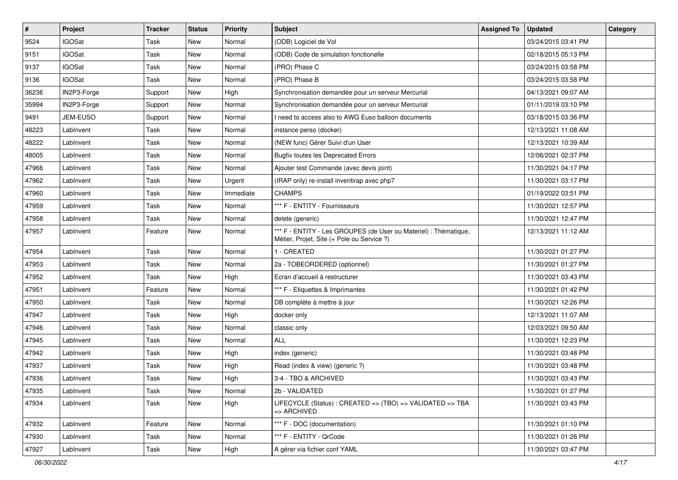| $\sharp$ | Project       | <b>Tracker</b> | <b>Status</b> | <b>Priority</b> | Subject                                                                                                        | <b>Assigned To</b> | <b>Updated</b>      | Category |
|----------|---------------|----------------|---------------|-----------------|----------------------------------------------------------------------------------------------------------------|--------------------|---------------------|----------|
| 9524     | <b>IGOSat</b> | Task           | <b>New</b>    | Normal          | (ODB) Logiciel de Vol                                                                                          |                    | 03/24/2015 03:41 PM |          |
| 9151     | <b>IGOSat</b> | Task           | <b>New</b>    | Normal          | (ODB) Code de simulation fonctionelle                                                                          |                    | 02/18/2015 05:13 PM |          |
| 9137     | IGOSat        | Task           | <b>New</b>    | Normal          | (PRO) Phase C                                                                                                  |                    | 03/24/2015 03:58 PM |          |
| 9136     | <b>IGOSat</b> | Task           | New           | Normal          | (PRO) Phase B                                                                                                  |                    | 03/24/2015 03:58 PM |          |
| 36236    | IN2P3-Forge   | Support        | <b>New</b>    | High            | Synchronisation demandée pour un serveur Mercurial                                                             |                    | 04/13/2021 09:07 AM |          |
| 35994    | IN2P3-Forge   | Support        | <b>New</b>    | Normal          | Synchronisation demandée pour un serveur Mercurial                                                             |                    | 01/11/2019 03:10 PM |          |
| 9491     | JEM-EUSO      | Support        | <b>New</b>    | Normal          | I need to access also to AWG Euso balloon documents                                                            |                    | 03/18/2015 03:36 PM |          |
| 48223    | LabInvent     | Task           | New           | Normal          | instance perso (docker)                                                                                        |                    | 12/13/2021 11:08 AM |          |
| 48222    | LabInvent     | Task           | New           | Normal          | (NEW func) Gérer Suivi d'un User                                                                               |                    | 12/13/2021 10:39 AM |          |
| 48005    | LabInvent     | Task           | <b>New</b>    | Normal          | <b>Bugfix toutes les Deprecated Errors</b>                                                                     |                    | 12/06/2021 02:37 PM |          |
| 47966    | LabInvent     | Task           | New           | Normal          | Ajouter test Commande (avec devis joint)                                                                       |                    | 11/30/2021 04:17 PM |          |
| 47962    | LabInvent     | Task           | New           | Urgent          | (IRAP only) re-install inventirap avec php7                                                                    |                    | 11/30/2021 03:17 PM |          |
| 47960    | LabInvent     | Task           | New           | Immediate       | <b>CHAMPS</b>                                                                                                  |                    | 01/19/2022 03:51 PM |          |
| 47959    | LabInvent     | Task           | <b>New</b>    | Normal          | *** F - ENTITY - Fournisseurs                                                                                  |                    | 11/30/2021 12:57 PM |          |
| 47958    | LabInvent     | Task           | <b>New</b>    | Normal          | delete (generic)                                                                                               |                    | 11/30/2021 12:47 PM |          |
| 47957    | LabInvent     | Feature        | New           | Normal          | *** F - ENTITY - Les GROUPES (de User ou Materiel) : Thématique,<br>Métier, Projet, Site (+ Pole ou Service ?) |                    | 12/13/2021 11:12 AM |          |
| 47954    | LabInvent     | Task           | <b>New</b>    | Normal          | 1 - CREATED                                                                                                    |                    | 11/30/2021 01:27 PM |          |
| 47953    | LabInvent     | Task           | New           | Normal          | 2a - TOBEORDERED (optionnel)                                                                                   |                    | 11/30/2021 01:27 PM |          |
| 47952    | LabInvent     | Task           | New           | High            | Ecran d'accueil à restructurer                                                                                 |                    | 11/30/2021 03:43 PM |          |
| 47951    | LabInvent     | Feature        | New           | Normal          | *** F - Etiquettes & Imprimantes                                                                               |                    | 11/30/2021 01:42 PM |          |
| 47950    | LabInvent     | Task           | <b>New</b>    | Normal          | DB complète à mettre à jour                                                                                    |                    | 11/30/2021 12:26 PM |          |
| 47947    | LabInvent     | Task           | <b>New</b>    | High            | docker only                                                                                                    |                    | 12/13/2021 11:07 AM |          |
| 47946    | LabInvent     | Task           | New           | Normal          | classic only                                                                                                   |                    | 12/03/2021 09:50 AM |          |
| 47945    | LabInvent     | Task           | New           | Normal          | <b>ALL</b>                                                                                                     |                    | 11/30/2021 12:23 PM |          |
| 47942    | LabInvent     | Task           | New           | High            | index (generic)                                                                                                |                    | 11/30/2021 03:48 PM |          |
| 47937    | LabInvent     | Task           | New           | High            | Read (index & view) (generic ?)                                                                                |                    | 11/30/2021 03:48 PM |          |
| 47936    | LabInvent     | Task           | New           | High            | 3-4 - TBO & ARCHIVED                                                                                           |                    | 11/30/2021 03:43 PM |          |
| 47935    | LabInvent     | Task           | New           | Normal          | 2b - VALIDATED                                                                                                 |                    | 11/30/2021 01:27 PM |          |
| 47934    | LabInvent     | Task           | New           | High            | LIFECYCLE (Status) : CREATED => (TBO) => VALIDATED => TBA<br>=> ARCHIVED                                       |                    | 11/30/2021 03:43 PM |          |
| 47932    | LabInvent     | Feature        | New           | Normal          | *** F - DOC (documentation)                                                                                    |                    | 11/30/2021 01:10 PM |          |
| 47930    | LabInvent     | Task           | New           | Normal          | *** F - ENTITY - QrCode                                                                                        |                    | 11/30/2021 01:26 PM |          |
| 47927    | LabInvent     | Task           | New           | High            | A gérer via fichier conf YAML                                                                                  |                    | 11/30/2021 03:47 PM |          |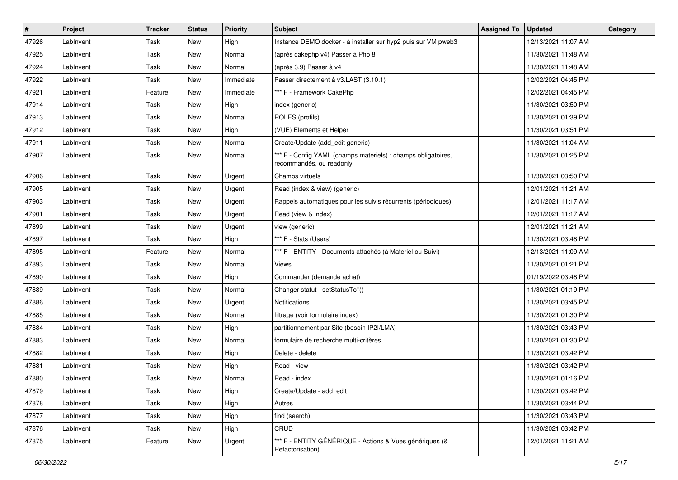| #     | Project   | <b>Tracker</b> | <b>Status</b> | <b>Priority</b> | <b>Subject</b>                                                                            | <b>Assigned To</b> | <b>Updated</b>      | Category |
|-------|-----------|----------------|---------------|-----------------|-------------------------------------------------------------------------------------------|--------------------|---------------------|----------|
| 47926 | LabInvent | Task           | New           | High            | Instance DEMO docker - à installer sur hyp2 puis sur VM pweb3                             |                    | 12/13/2021 11:07 AM |          |
| 47925 | LabInvent | Task           | <b>New</b>    | Normal          | (après cakephp v4) Passer à Php 8                                                         |                    | 11/30/2021 11:48 AM |          |
| 47924 | LabInvent | Task           | New           | Normal          | (après 3.9) Passer à v4                                                                   |                    | 11/30/2021 11:48 AM |          |
| 47922 | LabInvent | Task           | New           | Immediate       | Passer directement à v3.LAST (3.10.1)                                                     |                    | 12/02/2021 04:45 PM |          |
| 47921 | LabInvent | Feature        | <b>New</b>    | Immediate       | *** F - Framework CakePhp                                                                 |                    | 12/02/2021 04:45 PM |          |
| 47914 | LabInvent | Task           | New           | High            | index (generic)                                                                           |                    | 11/30/2021 03:50 PM |          |
| 47913 | LabInvent | Task           | New           | Normal          | ROLES (profils)                                                                           |                    | 11/30/2021 01:39 PM |          |
| 47912 | LabInvent | Task           | New           | High            | (VUE) Elements et Helper                                                                  |                    | 11/30/2021 03:51 PM |          |
| 47911 | LabInvent | Task           | New           | Normal          | Create/Update (add_edit generic)                                                          |                    | 11/30/2021 11:04 AM |          |
| 47907 | LabInvent | Task           | <b>New</b>    | Normal          | *** F - Config YAML (champs materiels) : champs obligatoires,<br>recommandés, ou readonly |                    | 11/30/2021 01:25 PM |          |
| 47906 | LabInvent | Task           | New           | Urgent          | Champs virtuels                                                                           |                    | 11/30/2021 03:50 PM |          |
| 47905 | LabInvent | Task           | <b>New</b>    | Urgent          | Read (index & view) (generic)                                                             |                    | 12/01/2021 11:21 AM |          |
| 47903 | LabInvent | Task           | <b>New</b>    | Urgent          | Rappels automatiques pour les suivis récurrents (périodiques)                             |                    | 12/01/2021 11:17 AM |          |
| 47901 | LabInvent | Task           | New           | Urgent          | Read (view & index)                                                                       |                    | 12/01/2021 11:17 AM |          |
| 47899 | LabInvent | Task           | New           | Urgent          | view (generic)                                                                            |                    | 12/01/2021 11:21 AM |          |
| 47897 | LabInvent | Task           | New           | High            | *** F - Stats (Users)                                                                     |                    | 11/30/2021 03:48 PM |          |
| 47895 | LabInvent | Feature        | New           | Normal          | *** F - ENTITY - Documents attachés (à Materiel ou Suivi)                                 |                    | 12/13/2021 11:09 AM |          |
| 47893 | LabInvent | Task           | New           | Normal          | Views                                                                                     |                    | 11/30/2021 01:21 PM |          |
| 47890 | LabInvent | Task           | New           | High            | Commander (demande achat)                                                                 |                    | 01/19/2022 03:48 PM |          |
| 47889 | LabInvent | Task           | New           | Normal          | Changer statut - setStatusTo*()                                                           |                    | 11/30/2021 01:19 PM |          |
| 47886 | LabInvent | Task           | New           | Urgent          | Notifications                                                                             |                    | 11/30/2021 03:45 PM |          |
| 47885 | LabInvent | Task           | <b>New</b>    | Normal          | filtrage (voir formulaire index)                                                          |                    | 11/30/2021 01:30 PM |          |
| 47884 | LabInvent | Task           | New           | High            | partitionnement par Site (besoin IP2I/LMA)                                                |                    | 11/30/2021 03:43 PM |          |
| 47883 | LabInvent | Task           | New           | Normal          | formulaire de recherche multi-critères                                                    |                    | 11/30/2021 01:30 PM |          |
| 47882 | LabInvent | Task           | <b>New</b>    | High            | Delete - delete                                                                           |                    | 11/30/2021 03:42 PM |          |
| 47881 | LabInvent | Task           | <b>New</b>    | High            | Read - view                                                                               |                    | 11/30/2021 03:42 PM |          |
| 47880 | LabInvent | Task           | New           | Normal          | Read - index                                                                              |                    | 11/30/2021 01:16 PM |          |
| 47879 | LabInvent | Task           | New           | High            | Create/Update - add_edit                                                                  |                    | 11/30/2021 03:42 PM |          |
| 47878 | LabInvent | Task           | New           | High            | Autres                                                                                    |                    | 11/30/2021 03:44 PM |          |
| 47877 | LabInvent | Task           | New           | High            | find (search)                                                                             |                    | 11/30/2021 03:43 PM |          |
| 47876 | LabInvent | Task           | New           | High            | CRUD                                                                                      |                    | 11/30/2021 03:42 PM |          |
| 47875 | LabInvent | Feature        | New           | Urgent          | *** F - ENTITY GÉNÉRIQUE - Actions & Vues génériques (&<br>Refactorisation)               |                    | 12/01/2021 11:21 AM |          |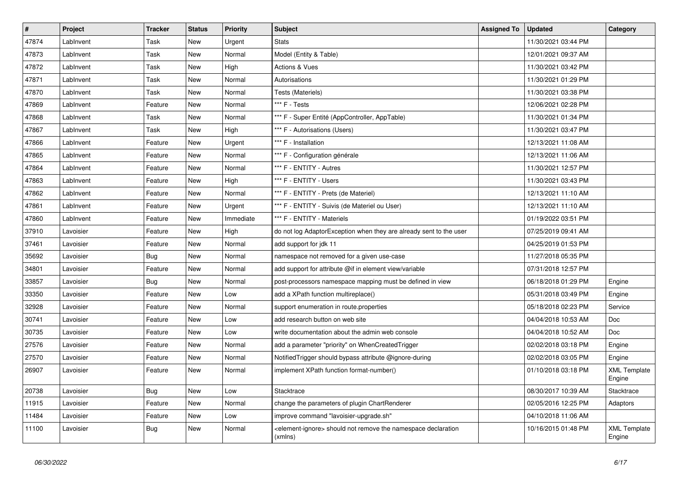| $\vert$ # | Project   | <b>Tracker</b> | <b>Status</b> | <b>Priority</b> | <b>Subject</b>                                                                            | <b>Assigned To</b> | <b>Updated</b>      | Category                      |
|-----------|-----------|----------------|---------------|-----------------|-------------------------------------------------------------------------------------------|--------------------|---------------------|-------------------------------|
| 47874     | LabInvent | Task           | <b>New</b>    | Urgent          | <b>Stats</b>                                                                              |                    | 11/30/2021 03:44 PM |                               |
| 47873     | LabInvent | Task           | <b>New</b>    | Normal          | Model (Entity & Table)                                                                    |                    | 12/01/2021 09:37 AM |                               |
| 47872     | LabInvent | Task           | New           | High            | <b>Actions &amp; Vues</b>                                                                 |                    | 11/30/2021 03:42 PM |                               |
| 47871     | LabInvent | Task           | New           | Normal          | Autorisations                                                                             |                    | 11/30/2021 01:29 PM |                               |
| 47870     | LabInvent | Task           | New           | Normal          | Tests (Materiels)                                                                         |                    | 11/30/2021 03:38 PM |                               |
| 47869     | LabInvent | Feature        | <b>New</b>    | Normal          | *** F - Tests                                                                             |                    | 12/06/2021 02:28 PM |                               |
| 47868     | LabInvent | Task           | New           | Normal          | *** F - Super Entité (AppController, AppTable)                                            |                    | 11/30/2021 01:34 PM |                               |
| 47867     | LabInvent | Task           | <b>New</b>    | High            | *** F - Autorisations (Users)                                                             |                    | 11/30/2021 03:47 PM |                               |
| 47866     | LabInvent | Feature        | <b>New</b>    | Urgent          | *** F - Installation                                                                      |                    | 12/13/2021 11:08 AM |                               |
| 47865     | LabInvent | Feature        | New           | Normal          | *** F - Configuration générale                                                            |                    | 12/13/2021 11:06 AM |                               |
| 47864     | LabInvent | Feature        | New           | Normal          | *** F - ENTITY - Autres                                                                   |                    | 11/30/2021 12:57 PM |                               |
| 47863     | LabInvent | Feature        | New           | High            | *** F - ENTITY - Users                                                                    |                    | 11/30/2021 03:43 PM |                               |
| 47862     | LabInvent | Feature        | New           | Normal          | *** F - ENTITY - Prets (de Materiel)                                                      |                    | 12/13/2021 11:10 AM |                               |
| 47861     | LabInvent | Feature        | New           | Urgent          | *** F - ENTITY - Suivis (de Materiel ou User)                                             |                    | 12/13/2021 11:10 AM |                               |
| 47860     | LabInvent | Feature        | New           | Immediate       | *** F - ENTITY - Materiels                                                                |                    | 01/19/2022 03:51 PM |                               |
| 37910     | Lavoisier | Feature        | New           | High            | do not log AdaptorException when they are already sent to the user                        |                    | 07/25/2019 09:41 AM |                               |
| 37461     | Lavoisier | Feature        | New           | Normal          | add support for jdk 11                                                                    |                    | 04/25/2019 01:53 PM |                               |
| 35692     | Lavoisier | <b>Bug</b>     | <b>New</b>    | Normal          | namespace not removed for a given use-case                                                |                    | 11/27/2018 05:35 PM |                               |
| 34801     | Lavoisier | Feature        | <b>New</b>    | Normal          | add support for attribute @if in element view/variable                                    |                    | 07/31/2018 12:57 PM |                               |
| 33857     | Lavoisier | <b>Bug</b>     | <b>New</b>    | Normal          | post-processors namespace mapping must be defined in view                                 |                    | 06/18/2018 01:29 PM | Engine                        |
| 33350     | Lavoisier | Feature        | New           | Low             | add a XPath function multireplace()                                                       |                    | 05/31/2018 03:49 PM | Engine                        |
| 32928     | Lavoisier | Feature        | <b>New</b>    | Normal          | support enumeration in route properties                                                   |                    | 05/18/2018 02:23 PM | Service                       |
| 30741     | Lavoisier | Feature        | <b>New</b>    | Low             | add research button on web site                                                           |                    | 04/04/2018 10:53 AM | <b>Doc</b>                    |
| 30735     | Lavoisier | Feature        | <b>New</b>    | Low             | write documentation about the admin web console                                           |                    | 04/04/2018 10:52 AM | <b>Doc</b>                    |
| 27576     | Lavoisier | Feature        | <b>New</b>    | Normal          | add a parameter "priority" on WhenCreatedTrigger                                          |                    | 02/02/2018 03:18 PM | Engine                        |
| 27570     | Lavoisier | Feature        | New           | Normal          | Notified Trigger should bypass attribute @ignore-during                                   |                    | 02/02/2018 03:05 PM | Engine                        |
| 26907     | Lavoisier | Feature        | <b>New</b>    | Normal          | implement XPath function format-number()                                                  |                    | 01/10/2018 03:18 PM | <b>XML Template</b><br>Engine |
| 20738     | Lavoisier | <b>Bug</b>     | <b>New</b>    | Low             | Stacktrace                                                                                |                    | 08/30/2017 10:39 AM | Stacktrace                    |
| 11915     | Lavoisier | Feature        | <b>New</b>    | Normal          | change the parameters of plugin ChartRenderer                                             |                    | 02/05/2016 12:25 PM | Adaptors                      |
| 11484     | Lavoisier | Feature        | New           | Low             | improve command "lavoisier-upgrade.sh"                                                    |                    | 04/10/2018 11:06 AM |                               |
| 11100     | Lavoisier | <b>Bug</b>     | New           | Normal          | <element-ignore> should not remove the namespace declaration<br/>(xmlns)</element-ignore> |                    | 10/16/2015 01:48 PM | <b>XML Template</b><br>Engine |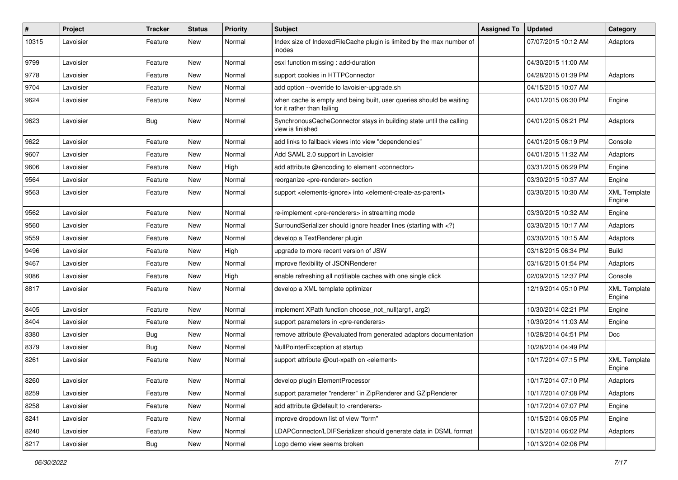| #     | Project   | <b>Tracker</b> | <b>Status</b> | <b>Priority</b> | <b>Subject</b>                                                                                                              | <b>Assigned To</b> | <b>Updated</b>      | Category                      |
|-------|-----------|----------------|---------------|-----------------|-----------------------------------------------------------------------------------------------------------------------------|--------------------|---------------------|-------------------------------|
| 10315 | Lavoisier | Feature        | New           | Normal          | Index size of IndexedFileCache plugin is limited by the max number of<br>inodes                                             |                    | 07/07/2015 10:12 AM | Adaptors                      |
| 9799  | Lavoisier | Feature        | New           | Normal          | esxl function missing : add-duration                                                                                        |                    | 04/30/2015 11:00 AM |                               |
| 9778  | Lavoisier | Feature        | New           | Normal          | support cookies in HTTPConnector                                                                                            |                    | 04/28/2015 01:39 PM | Adaptors                      |
| 9704  | Lavoisier | Feature        | New           | Normal          | add option --override to lavoisier-upgrade.sh                                                                               |                    | 04/15/2015 10:07 AM |                               |
| 9624  | Lavoisier | Feature        | New           | Normal          | when cache is empty and being built, user queries should be waiting<br>for it rather than failing                           |                    | 04/01/2015 06:30 PM | Engine                        |
| 9623  | Lavoisier | Bug            | New           | Normal          | SynchronousCacheConnector stays in building state until the calling<br>view is finished                                     |                    | 04/01/2015 06:21 PM | Adaptors                      |
| 9622  | Lavoisier | Feature        | New           | Normal          | add links to fallback views into view "dependencies"                                                                        |                    | 04/01/2015 06:19 PM | Console                       |
| 9607  | Lavoisier | Feature        | New           | Normal          | Add SAML 2.0 support in Lavoisier                                                                                           |                    | 04/01/2015 11:32 AM | Adaptors                      |
| 9606  | Lavoisier | Feature        | New           | High            | add attribute @encoding to element <connector></connector>                                                                  |                    | 03/31/2015 06:29 PM | Engine                        |
| 9564  | Lavoisier | Feature        | New           | Normal          | reorganize <pre-renderer> section</pre-renderer>                                                                            |                    | 03/30/2015 10:37 AM | Engine                        |
| 9563  | Lavoisier | Feature        | New           | Normal          | support <elements-ignore> into <element-create-as-parent></element-create-as-parent></elements-ignore>                      |                    | 03/30/2015 10:30 AM | <b>XML Template</b><br>Engine |
| 9562  | Lavoisier | Feature        | New           | Normal          | re-implement <pre-renderers> in streaming mode</pre-renderers>                                                              |                    | 03/30/2015 10:32 AM | Engine                        |
| 9560  | Lavoisier | Feature        | New           | Normal          | SurroundSerializer should ignore header lines (starting with )</td <td></td> <td>03/30/2015 10:17 AM</td> <td>Adaptors</td> |                    | 03/30/2015 10:17 AM | Adaptors                      |
| 9559  | Lavoisier | Feature        | New           | Normal          | develop a TextRenderer plugin                                                                                               |                    | 03/30/2015 10:15 AM | Adaptors                      |
| 9496  | Lavoisier | Feature        | New           | High            | upgrade to more recent version of JSW                                                                                       |                    | 03/18/2015 06:34 PM | <b>Build</b>                  |
| 9467  | Lavoisier | Feature        | New           | Normal          | improve flexibility of JSONRenderer                                                                                         |                    | 03/16/2015 01:54 PM | Adaptors                      |
| 9086  | Lavoisier | Feature        | New           | High            | enable refreshing all notifiable caches with one single click                                                               |                    | 02/09/2015 12:37 PM | Console                       |
| 8817  | Lavoisier | Feature        | New           | Normal          | develop a XML template optimizer                                                                                            |                    | 12/19/2014 05:10 PM | <b>XML Template</b><br>Engine |
| 8405  | Lavoisier | Feature        | New           | Normal          | implement XPath function choose not null(arg1, arg2)                                                                        |                    | 10/30/2014 02:21 PM | Engine                        |
| 8404  | Lavoisier | Feature        | New           | Normal          | support parameters in <pre-renderers></pre-renderers>                                                                       |                    | 10/30/2014 11:03 AM | Engine                        |
| 8380  | Lavoisier | <b>Bug</b>     | New           | Normal          | remove attribute @evaluated from generated adaptors documentation                                                           |                    | 10/28/2014 04:51 PM | Doc                           |
| 8379  | Lavoisier | <b>Bug</b>     | New           | Normal          | NullPointerException at startup                                                                                             |                    | 10/28/2014 04:49 PM |                               |
| 8261  | Lavoisier | Feature        | New           | Normal          | support attribute @out-xpath on <element></element>                                                                         |                    | 10/17/2014 07:15 PM | <b>XML Template</b><br>Engine |
| 8260  | Lavoisier | Feature        | New           | Normal          | develop plugin ElementProcessor                                                                                             |                    | 10/17/2014 07:10 PM | Adaptors                      |
| 8259  | Lavoisier | Feature        | New           | Normal          | support parameter "renderer" in ZipRenderer and GZipRenderer                                                                |                    | 10/17/2014 07:08 PM | Adaptors                      |
| 8258  | Lavoisier | Feature        | New           | Normal          | add attribute @default to <renderers></renderers>                                                                           |                    | 10/17/2014 07:07 PM | Engine                        |
| 8241  | Lavoisier | Feature        | New           | Normal          | improve dropdown list of view "form"                                                                                        |                    | 10/15/2014 06:05 PM | Engine                        |
| 8240  | Lavoisier | Feature        | New           | Normal          | LDAPConnector/LDIFSerializer should generate data in DSML format                                                            |                    | 10/15/2014 06:02 PM | Adaptors                      |
| 8217  | Lavoisier | Bug            | New           | Normal          | Logo demo view seems broken                                                                                                 |                    | 10/13/2014 02:06 PM |                               |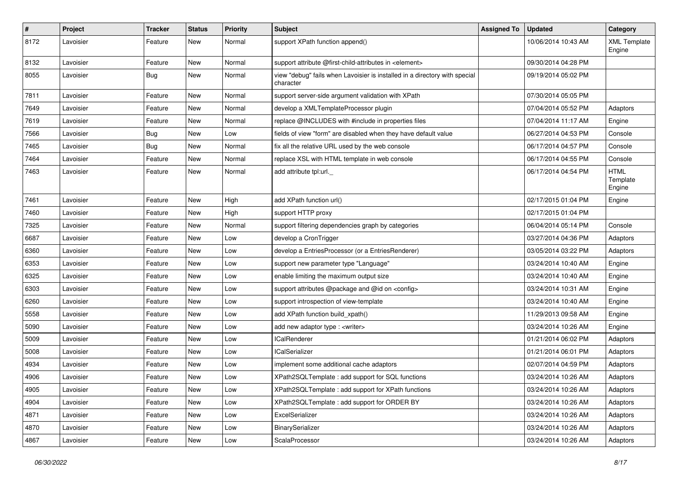| $\sharp$ | Project   | <b>Tracker</b> | <b>Status</b> | <b>Priority</b> | <b>Subject</b>                                                                          | <b>Assigned To</b> | <b>Updated</b>      | Category                          |
|----------|-----------|----------------|---------------|-----------------|-----------------------------------------------------------------------------------------|--------------------|---------------------|-----------------------------------|
| 8172     | Lavoisier | Feature        | New           | Normal          | support XPath function append()                                                         |                    | 10/06/2014 10:43 AM | <b>XML Template</b><br>Engine     |
| 8132     | Lavoisier | Feature        | New           | Normal          | support attribute @first-child-attributes in <element></element>                        |                    | 09/30/2014 04:28 PM |                                   |
| 8055     | Lavoisier | Bug            | New           | Normal          | view "debug" fails when Lavoisier is installed in a directory with special<br>character |                    | 09/19/2014 05:02 PM |                                   |
| 7811     | Lavoisier | Feature        | New           | Normal          | support server-side argument validation with XPath                                      |                    | 07/30/2014 05:05 PM |                                   |
| 7649     | Lavoisier | Feature        | New           | Normal          | develop a XMLTemplateProcessor plugin                                                   |                    | 07/04/2014 05:52 PM | Adaptors                          |
| 7619     | Lavoisier | Feature        | New           | Normal          | replace @INCLUDES with #include in properties files                                     |                    | 07/04/2014 11:17 AM | Engine                            |
| 7566     | Lavoisier | Bug            | New           | Low             | fields of view "form" are disabled when they have default value                         |                    | 06/27/2014 04:53 PM | Console                           |
| 7465     | Lavoisier | Bug            | New           | Normal          | fix all the relative URL used by the web console                                        |                    | 06/17/2014 04:57 PM | Console                           |
| 7464     | Lavoisier | Feature        | New           | Normal          | replace XSL with HTML template in web console                                           |                    | 06/17/2014 04:55 PM | Console                           |
| 7463     | Lavoisier | Feature        | New           | Normal          | add attribute tpl:url.                                                                  |                    | 06/17/2014 04:54 PM | <b>HTML</b><br>Template<br>Engine |
| 7461     | Lavoisier | Feature        | New           | High            | add XPath function url()                                                                |                    | 02/17/2015 01:04 PM | Engine                            |
| 7460     | Lavoisier | Feature        | New           | High            | support HTTP proxy                                                                      |                    | 02/17/2015 01:04 PM |                                   |
| 7325     | Lavoisier | Feature        | New           | Normal          | support filtering dependencies graph by categories                                      |                    | 06/04/2014 05:14 PM | Console                           |
| 6687     | Lavoisier | Feature        | New           | Low             | develop a CronTrigger                                                                   |                    | 03/27/2014 04:36 PM | Adaptors                          |
| 6360     | Lavoisier | Feature        | New           | Low             | develop a EntriesProcessor (or a EntriesRenderer)                                       |                    | 03/05/2014 03:22 PM | Adaptors                          |
| 6353     | Lavoisier | Feature        | New           | Low             | support new parameter type "Language"                                                   |                    | 03/24/2014 10:40 AM | Engine                            |
| 6325     | Lavoisier | Feature        | New           | Low             | enable limiting the maximum output size                                                 |                    | 03/24/2014 10:40 AM | Engine                            |
| 6303     | Lavoisier | Feature        | New           | Low             | support attributes @package and @id on <config></config>                                |                    | 03/24/2014 10:31 AM | Engine                            |
| 6260     | Lavoisier | Feature        | New           | Low             | support introspection of view-template                                                  |                    | 03/24/2014 10:40 AM | Engine                            |
| 5558     | Lavoisier | Feature        | New           | Low             | add XPath function build_xpath()                                                        |                    | 11/29/2013 09:58 AM | Engine                            |
| 5090     | Lavoisier | Feature        | New           | Low             | add new adaptor type : < writer>                                                        |                    | 03/24/2014 10:26 AM | Engine                            |
| 5009     | Lavoisier | Feature        | New           | Low             | <b>ICalRenderer</b>                                                                     |                    | 01/21/2014 06:02 PM | Adaptors                          |
| 5008     | Lavoisier | Feature        | New           | Low             | <b>ICalSerializer</b>                                                                   |                    | 01/21/2014 06:01 PM | Adaptors                          |
| 4934     | Lavoisier | Feature        | New           | Low             | implement some additional cache adaptors                                                |                    | 02/07/2014 04:59 PM | Adaptors                          |
| 4906     | Lavoisier | Feature        | New           | Low             | XPath2SQLTemplate: add support for SQL functions                                        |                    | 03/24/2014 10:26 AM | Adaptors                          |
| 4905     | Lavoisier | Feature        | New           | Low             | XPath2SQLTemplate : add support for XPath functions                                     |                    | 03/24/2014 10:26 AM | Adaptors                          |
| 4904     | Lavoisier | Feature        | New           | Low             | XPath2SQLTemplate : add support for ORDER BY                                            |                    | 03/24/2014 10:26 AM | Adaptors                          |
| 4871     | Lavoisier | Feature        | New           | Low             | ExcelSerializer                                                                         |                    | 03/24/2014 10:26 AM | Adaptors                          |
| 4870     | Lavoisier | Feature        | New           | Low             | BinarySerializer                                                                        |                    | 03/24/2014 10:26 AM | Adaptors                          |
| 4867     | Lavoisier | Feature        | New           | Low             | ScalaProcessor                                                                          |                    | 03/24/2014 10:26 AM | Adaptors                          |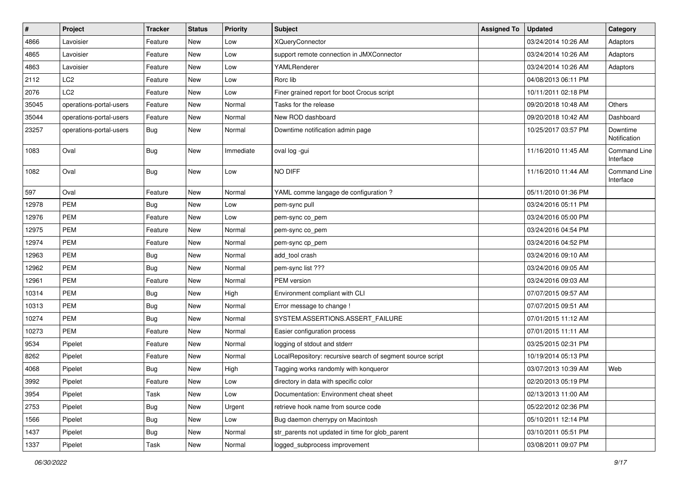| $\vert$ # | Project                 | <b>Tracker</b> | <b>Status</b> | <b>Priority</b> | <b>Subject</b>                                             | <b>Assigned To</b> | <b>Updated</b>      | Category                  |
|-----------|-------------------------|----------------|---------------|-----------------|------------------------------------------------------------|--------------------|---------------------|---------------------------|
| 4866      | Lavoisier               | Feature        | New           | Low             | <b>XQueryConnector</b>                                     |                    | 03/24/2014 10:26 AM | Adaptors                  |
| 4865      | Lavoisier               | Feature        | New           | Low             | support remote connection in JMXConnector                  |                    | 03/24/2014 10:26 AM | Adaptors                  |
| 4863      | Lavoisier               | Feature        | New           | Low             | YAMLRenderer                                               |                    | 03/24/2014 10:26 AM | Adaptors                  |
| 2112      | LC <sub>2</sub>         | Feature        | New           | Low             | Rorc lib                                                   |                    | 04/08/2013 06:11 PM |                           |
| 2076      | LC <sub>2</sub>         | Feature        | New           | Low             | Finer grained report for boot Crocus script                |                    | 10/11/2011 02:18 PM |                           |
| 35045     | operations-portal-users | Feature        | New           | Normal          | Tasks for the release                                      |                    | 09/20/2018 10:48 AM | Others                    |
| 35044     | operations-portal-users | Feature        | New           | Normal          | New ROD dashboard                                          |                    | 09/20/2018 10:42 AM | Dashboard                 |
| 23257     | operations-portal-users | Bug            | New           | Normal          | Downtime notification admin page                           |                    | 10/25/2017 03:57 PM | Downtime<br>Notification  |
| 1083      | Oval                    | <b>Bug</b>     | New           | Immediate       | oval log -gui                                              |                    | 11/16/2010 11:45 AM | Command Line<br>Interface |
| 1082      | Oval                    | Bug            | New           | Low             | NO DIFF                                                    |                    | 11/16/2010 11:44 AM | Command Line<br>Interface |
| 597       | Oval                    | Feature        | <b>New</b>    | Normal          | YAML comme langage de configuration ?                      |                    | 05/11/2010 01:36 PM |                           |
| 12978     | <b>PEM</b>              | <b>Bug</b>     | New           | Low             | pem-sync pull                                              |                    | 03/24/2016 05:11 PM |                           |
| 12976     | <b>PEM</b>              | Feature        | New           | Low             | pem-sync co_pem                                            |                    | 03/24/2016 05:00 PM |                           |
| 12975     | <b>PEM</b>              | Feature        | New           | Normal          | pem-sync co_pem                                            |                    | 03/24/2016 04:54 PM |                           |
| 12974     | PEM                     | Feature        | New           | Normal          | pem-sync cp_pem                                            |                    | 03/24/2016 04:52 PM |                           |
| 12963     | <b>PEM</b>              | <b>Bug</b>     | New           | Normal          | add tool crash                                             |                    | 03/24/2016 09:10 AM |                           |
| 12962     | <b>PEM</b>              | <b>Bug</b>     | New           | Normal          | pem-sync list ???                                          |                    | 03/24/2016 09:05 AM |                           |
| 12961     | <b>PEM</b>              | Feature        | <b>New</b>    | Normal          | PEM version                                                |                    | 03/24/2016 09:03 AM |                           |
| 10314     | PEM                     | Bug            | New           | High            | Environment compliant with CLI                             |                    | 07/07/2015 09:57 AM |                           |
| 10313     | PEM                     | <b>Bug</b>     | <b>New</b>    | Normal          | Error message to change !                                  |                    | 07/07/2015 09:51 AM |                           |
| 10274     | <b>PEM</b>              | <b>Bug</b>     | New           | Normal          | SYSTEM.ASSERTIONS.ASSERT_FAILURE                           |                    | 07/01/2015 11:12 AM |                           |
| 10273     | <b>PEM</b>              | Feature        | New           | Normal          | Easier configuration process                               |                    | 07/01/2015 11:11 AM |                           |
| 9534      | Pipelet                 | Feature        | New           | Normal          | logging of stdout and stderr                               |                    | 03/25/2015 02:31 PM |                           |
| 8262      | Pipelet                 | Feature        | New           | Normal          | LocalRepository: recursive search of segment source script |                    | 10/19/2014 05:13 PM |                           |
| 4068      | Pipelet                 | <b>Bug</b>     | New           | High            | Tagging works randomly with konqueror                      |                    | 03/07/2013 10:39 AM | Web                       |
| 3992      | Pipelet                 | Feature        | New           | Low             | directory in data with specific color                      |                    | 02/20/2013 05:19 PM |                           |
| 3954      | Pipelet                 | Task           | New           | Low             | Documentation: Environment cheat sheet                     |                    | 02/13/2013 11:00 AM |                           |
| 2753      | Pipelet                 | Bug            | New           | Urgent          | retrieve hook name from source code                        |                    | 05/22/2012 02:36 PM |                           |
| 1566      | Pipelet                 | <b>Bug</b>     | New           | Low             | Bug daemon cherrypy on Macintosh                           |                    | 05/10/2011 12:14 PM |                           |
| 1437      | Pipelet                 | <b>Bug</b>     | New           | Normal          | str_parents not updated in time for glob_parent            |                    | 03/10/2011 05:51 PM |                           |
| 1337      | Pipelet                 | Task           | New           | Normal          | logged_subprocess improvement                              |                    | 03/08/2011 09:07 PM |                           |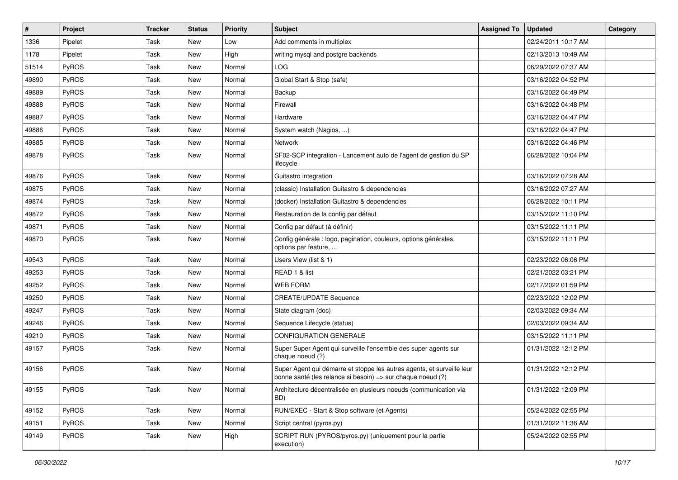| $\vert$ # | Project      | <b>Tracker</b> | <b>Status</b> | <b>Priority</b> | <b>Subject</b>                                                                                                                        | <b>Assigned To</b> | <b>Updated</b>      | Category |
|-----------|--------------|----------------|---------------|-----------------|---------------------------------------------------------------------------------------------------------------------------------------|--------------------|---------------------|----------|
| 1336      | Pipelet      | Task           | <b>New</b>    | Low             | Add comments in multiplex                                                                                                             |                    | 02/24/2011 10:17 AM |          |
| 1178      | Pipelet      | Task           | <b>New</b>    | High            | writing mysql and postgre backends                                                                                                    |                    | 02/13/2013 10:49 AM |          |
| 51514     | <b>PyROS</b> | <b>Task</b>    | <b>New</b>    | Normal          | LOG                                                                                                                                   |                    | 06/29/2022 07:37 AM |          |
| 49890     | PyROS        | Task           | New           | Normal          | Global Start & Stop (safe)                                                                                                            |                    | 03/16/2022 04:52 PM |          |
| 49889     | PyROS        | Task           | <b>New</b>    | Normal          | Backup                                                                                                                                |                    | 03/16/2022 04:49 PM |          |
| 49888     | PyROS        | Task           | New           | Normal          | Firewall                                                                                                                              |                    | 03/16/2022 04:48 PM |          |
| 49887     | PyROS        | Task           | <b>New</b>    | Normal          | Hardware                                                                                                                              |                    | 03/16/2022 04:47 PM |          |
| 49886     | PyROS        | <b>Task</b>    | New           | Normal          | System watch (Nagios, )                                                                                                               |                    | 03/16/2022 04:47 PM |          |
| 49885     | PyROS        | <b>Task</b>    | New           | Normal          | Network                                                                                                                               |                    | 03/16/2022 04:46 PM |          |
| 49878     | PyROS        | Task           | <b>New</b>    | Normal          | SF02-SCP integration - Lancement auto de l'agent de gestion du SP<br>lifecycle                                                        |                    | 06/28/2022 10:04 PM |          |
| 49876     | PyROS        | Task           | <b>New</b>    | Normal          | Guitastro integration                                                                                                                 |                    | 03/16/2022 07:28 AM |          |
| 49875     | PyROS        | <b>Task</b>    | New           | Normal          | (classic) Installation Guitastro & dependencies                                                                                       |                    | 03/16/2022 07:27 AM |          |
| 49874     | PyROS        | Task           | New           | Normal          | (docker) Installation Guitastro & dependencies                                                                                        |                    | 06/28/2022 10:11 PM |          |
| 49872     | PyROS        | Task           | <b>New</b>    | Normal          | Restauration de la config par défaut                                                                                                  |                    | 03/15/2022 11:10 PM |          |
| 49871     | PyROS        | Task           | New           | Normal          | Config par défaut (à définir)                                                                                                         |                    | 03/15/2022 11:11 PM |          |
| 49870     | PyROS        | <b>Task</b>    | New           | Normal          | Config générale : logo, pagination, couleurs, options générales,<br>options par feature,                                              |                    | 03/15/2022 11:11 PM |          |
| 49543     | PyROS        | <b>Task</b>    | New           | Normal          | Users View (list & 1)                                                                                                                 |                    | 02/23/2022 06:06 PM |          |
| 49253     | PyROS        | Task           | <b>New</b>    | Normal          | READ 1 & list                                                                                                                         |                    | 02/21/2022 03:21 PM |          |
| 49252     | PyROS        | Task           | New           | Normal          | <b>WEB FORM</b>                                                                                                                       |                    | 02/17/2022 01:59 PM |          |
| 49250     | PyROS        | <b>Task</b>    | <b>New</b>    | Normal          | <b>CREATE/UPDATE Sequence</b>                                                                                                         |                    | 02/23/2022 12:02 PM |          |
| 49247     | PyROS        | Task           | <b>New</b>    | Normal          | State diagram (doc)                                                                                                                   |                    | 02/03/2022 09:34 AM |          |
| 49246     | PyROS        | Task           | <b>New</b>    | Normal          | Sequence Lifecycle (status)                                                                                                           |                    | 02/03/2022 09:34 AM |          |
| 49210     | PyROS        | Task           | <b>New</b>    | Normal          | <b>CONFIGURATION GENERALE</b>                                                                                                         |                    | 03/15/2022 11:11 PM |          |
| 49157     | PyROS        | Task           | <b>New</b>    | Normal          | Super Super Agent qui surveille l'ensemble des super agents sur<br>chaque noeud (?)                                                   |                    | 01/31/2022 12:12 PM |          |
| 49156     | PyROS        | Task           | <b>New</b>    | Normal          | Super Agent qui démarre et stoppe les autres agents, et surveille leur<br>bonne santé (les relance si besoin) => sur chaque noeud (?) |                    | 01/31/2022 12:12 PM |          |
| 49155     | PyROS        | Task           | New           | Normal          | Architecture décentralisée en plusieurs noeuds (communication via<br>BD)                                                              |                    | 01/31/2022 12:09 PM |          |
| 49152     | PyROS        | Task           | New           | Normal          | RUN/EXEC - Start & Stop software (et Agents)                                                                                          |                    | 05/24/2022 02:55 PM |          |
| 49151     | PyROS        | Task           | New           | Normal          | Script central (pyros.py)                                                                                                             |                    | 01/31/2022 11:36 AM |          |
| 49149     | PyROS        | Task           | New           | High            | SCRIPT RUN (PYROS/pyros.py) (uniquement pour la partie<br>execution)                                                                  |                    | 05/24/2022 02:55 PM |          |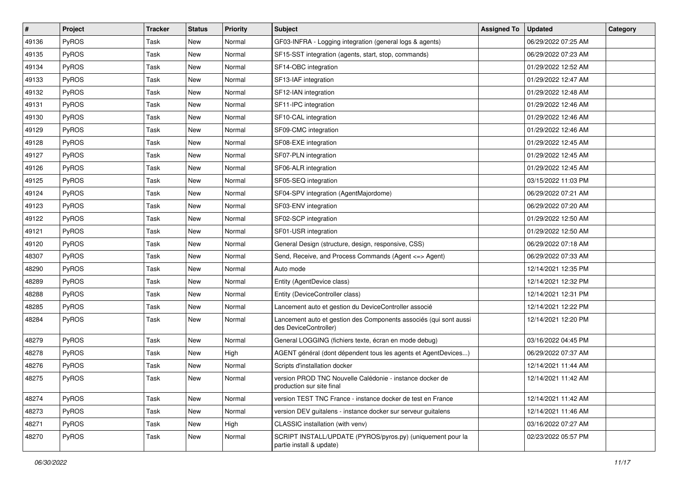| $\vert$ # | Project | <b>Tracker</b> | <b>Status</b> | <b>Priority</b> | <b>Subject</b>                                                                             | <b>Assigned To</b> | <b>Updated</b>      | Category |
|-----------|---------|----------------|---------------|-----------------|--------------------------------------------------------------------------------------------|--------------------|---------------------|----------|
| 49136     | PyROS   | Task           | New           | Normal          | GF03-INFRA - Logging integration (general logs & agents)                                   |                    | 06/29/2022 07:25 AM |          |
| 49135     | PyROS   | Task           | <b>New</b>    | Normal          | SF15-SST integration (agents, start, stop, commands)                                       |                    | 06/29/2022 07:23 AM |          |
| 49134     | PyROS   | Task           | New           | Normal          | SF14-OBC integration                                                                       |                    | 01/29/2022 12:52 AM |          |
| 49133     | PyROS   | Task           | New           | Normal          | SF13-IAF integration                                                                       |                    | 01/29/2022 12:47 AM |          |
| 49132     | PyROS   | Task           | <b>New</b>    | Normal          | SF12-IAN integration                                                                       |                    | 01/29/2022 12:48 AM |          |
| 49131     | PyROS   | <b>Task</b>    | New           | Normal          | SF11-IPC integration                                                                       |                    | 01/29/2022 12:46 AM |          |
| 49130     | PyROS   | Task           | New           | Normal          | SF10-CAL integration                                                                       |                    | 01/29/2022 12:46 AM |          |
| 49129     | PyROS   | Task           | New           | Normal          | SF09-CMC integration                                                                       |                    | 01/29/2022 12:46 AM |          |
| 49128     | PyROS   | Task           | New           | Normal          | SF08-EXE integration                                                                       |                    | 01/29/2022 12:45 AM |          |
| 49127     | PyROS   | Task           | <b>New</b>    | Normal          | SF07-PLN integration                                                                       |                    | 01/29/2022 12:45 AM |          |
| 49126     | PyROS   | Task           | New           | Normal          | SF06-ALR integration                                                                       |                    | 01/29/2022 12:45 AM |          |
| 49125     | PyROS   | Task           | New           | Normal          | SF05-SEQ integration                                                                       |                    | 03/15/2022 11:03 PM |          |
| 49124     | PyROS   | Task           | <b>New</b>    | Normal          | SF04-SPV integration (AgentMajordome)                                                      |                    | 06/29/2022 07:21 AM |          |
| 49123     | PyROS   | Task           | New           | Normal          | SF03-ENV integration                                                                       |                    | 06/29/2022 07:20 AM |          |
| 49122     | PyROS   | Task           | <b>New</b>    | Normal          | SF02-SCP integration                                                                       |                    | 01/29/2022 12:50 AM |          |
| 49121     | PyROS   | Task           | New           | Normal          | SF01-USR integration                                                                       |                    | 01/29/2022 12:50 AM |          |
| 49120     | PyROS   | Task           | New           | Normal          | General Design (structure, design, responsive, CSS)                                        |                    | 06/29/2022 07:18 AM |          |
| 48307     | PyROS   | Task           | <b>New</b>    | Normal          | Send, Receive, and Process Commands (Agent <= > Agent)                                     |                    | 06/29/2022 07:33 AM |          |
| 48290     | PyROS   | Task           | New           | Normal          | Auto mode                                                                                  |                    | 12/14/2021 12:35 PM |          |
| 48289     | PyROS   | Task           | New           | Normal          | Entity (AgentDevice class)                                                                 |                    | 12/14/2021 12:32 PM |          |
| 48288     | PyROS   | Task           | New           | Normal          | Entity (DeviceController class)                                                            |                    | 12/14/2021 12:31 PM |          |
| 48285     | PyROS   | Task           | New           | Normal          | Lancement auto et gestion du DeviceController associé                                      |                    | 12/14/2021 12:22 PM |          |
| 48284     | PyROS   | <b>Task</b>    | New           | Normal          | Lancement auto et gestion des Components associés (qui sont aussi<br>des DeviceController) |                    | 12/14/2021 12:20 PM |          |
| 48279     | PyROS   | Task           | New           | Normal          | General LOGGING (fichiers texte, écran en mode debug)                                      |                    | 03/16/2022 04:45 PM |          |
| 48278     | PyROS   | Task           | <b>New</b>    | High            | AGENT général (dont dépendent tous les agents et AgentDevices)                             |                    | 06/29/2022 07:37 AM |          |
| 48276     | PyROS   | Task           | New           | Normal          | Scripts d'installation docker                                                              |                    | 12/14/2021 11:44 AM |          |
| 48275     | PyROS   | Task           | New           | Normal          | version PROD TNC Nouvelle Calédonie - instance docker de<br>production sur site final      |                    | 12/14/2021 11:42 AM |          |
| 48274     | PyROS   | Task           | New           | Normal          | version TEST TNC France - instance docker de test en France                                |                    | 12/14/2021 11:42 AM |          |
| 48273     | PyROS   | Task           | New           | Normal          | version DEV guitalens - instance docker sur serveur guitalens                              |                    | 12/14/2021 11:46 AM |          |
| 48271     | PyROS   | Task           | New           | High            | CLASSIC installation (with venv)                                                           |                    | 03/16/2022 07:27 AM |          |
| 48270     | PyROS   | Task           | New           | Normal          | SCRIPT INSTALL/UPDATE (PYROS/pyros.py) (uniquement pour la<br>partie install & update)     |                    | 02/23/2022 05:57 PM |          |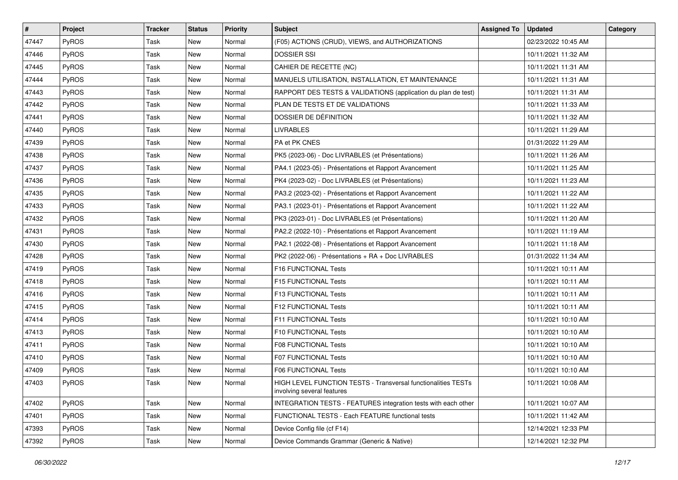| $\vert$ # | Project      | <b>Tracker</b> | <b>Status</b> | <b>Priority</b> | <b>Subject</b>                                                                              | <b>Assigned To</b> | <b>Updated</b>      | Category |
|-----------|--------------|----------------|---------------|-----------------|---------------------------------------------------------------------------------------------|--------------------|---------------------|----------|
| 47447     | PyROS        | Task           | New           | Normal          | (F05) ACTIONS (CRUD), VIEWS, and AUTHORIZATIONS                                             |                    | 02/23/2022 10:45 AM |          |
| 47446     | PyROS        | <b>Task</b>    | New           | Normal          | <b>DOSSIER SSI</b>                                                                          |                    | 10/11/2021 11:32 AM |          |
| 47445     | <b>PyROS</b> | Task           | New           | Normal          | CAHIER DE RECETTE (NC)                                                                      |                    | 10/11/2021 11:31 AM |          |
| 47444     | PyROS        | Task           | New           | Normal          | MANUELS UTILISATION, INSTALLATION, ET MAINTENANCE                                           |                    | 10/11/2021 11:31 AM |          |
| 47443     | PyROS        | <b>Task</b>    | New           | Normal          | RAPPORT DES TESTS & VALIDATIONS (application du plan de test)                               |                    | 10/11/2021 11:31 AM |          |
| 47442     | PyROS        | Task           | New           | Normal          | PLAN DE TESTS ET DE VALIDATIONS                                                             |                    | 10/11/2021 11:33 AM |          |
| 47441     | PyROS        | Task           | <b>New</b>    | Normal          | DOSSIER DE DÉFINITION                                                                       |                    | 10/11/2021 11:32 AM |          |
| 47440     | <b>PyROS</b> | Task           | New           | Normal          | <b>LIVRABLES</b>                                                                            |                    | 10/11/2021 11:29 AM |          |
| 47439     | PyROS        | <b>Task</b>    | New           | Normal          | PA et PK CNES                                                                               |                    | 01/31/2022 11:29 AM |          |
| 47438     | PyROS        | <b>Task</b>    | New           | Normal          | PK5 (2023-06) - Doc LIVRABLES (et Présentations)                                            |                    | 10/11/2021 11:26 AM |          |
| 47437     | PyROS        | Task           | New           | Normal          | PA4.1 (2023-05) - Présentations et Rapport Avancement                                       |                    | 10/11/2021 11:25 AM |          |
| 47436     | PyROS        | <b>Task</b>    | <b>New</b>    | Normal          | PK4 (2023-02) - Doc LIVRABLES (et Présentations)                                            |                    | 10/11/2021 11:23 AM |          |
| 47435     | PyROS        | Task           | New           | Normal          | PA3.2 (2023-02) - Présentations et Rapport Avancement                                       |                    | 10/11/2021 11:22 AM |          |
| 47433     | PyROS        | Task           | New           | Normal          | PA3.1 (2023-01) - Présentations et Rapport Avancement                                       |                    | 10/11/2021 11:22 AM |          |
| 47432     | PyROS        | Task           | New           | Normal          | PK3 (2023-01) - Doc LIVRABLES (et Présentations)                                            |                    | 10/11/2021 11:20 AM |          |
| 47431     | <b>PyROS</b> | Task           | New           | Normal          | PA2.2 (2022-10) - Présentations et Rapport Avancement                                       |                    | 10/11/2021 11:19 AM |          |
| 47430     | PyROS        | <b>Task</b>    | New           | Normal          | PA2.1 (2022-08) - Présentations et Rapport Avancement                                       |                    | 10/11/2021 11:18 AM |          |
| 47428     | PyROS        | Task           | New           | Normal          | PK2 (2022-06) - Présentations + RA + Doc LIVRABLES                                          |                    | 01/31/2022 11:34 AM |          |
| 47419     | PyROS        | Task           | New           | Normal          | F16 FUNCTIONAL Tests                                                                        |                    | 10/11/2021 10:11 AM |          |
| 47418     | PyROS        | <b>Task</b>    | New           | Normal          | F15 FUNCTIONAL Tests                                                                        |                    | 10/11/2021 10:11 AM |          |
| 47416     | PyROS        | Task           | New           | Normal          | F13 FUNCTIONAL Tests                                                                        |                    | 10/11/2021 10:11 AM |          |
| 47415     | PyROS        | Task           | New           | Normal          | F12 FUNCTIONAL Tests                                                                        |                    | 10/11/2021 10:11 AM |          |
| 47414     | PyROS        | <b>Task</b>    | New           | Normal          | F11 FUNCTIONAL Tests                                                                        |                    | 10/11/2021 10:10 AM |          |
| 47413     | PyROS        | Task           | New           | Normal          | F10 FUNCTIONAL Tests                                                                        |                    | 10/11/2021 10:10 AM |          |
| 47411     | PyROS        | <b>Task</b>    | New           | Normal          | <b>F08 FUNCTIONAL Tests</b>                                                                 |                    | 10/11/2021 10:10 AM |          |
| 47410     | PyROS        | Task           | New           | Normal          | F07 FUNCTIONAL Tests                                                                        |                    | 10/11/2021 10:10 AM |          |
| 47409     | PyROS        | <b>Task</b>    | New           | Normal          | <b>F06 FUNCTIONAL Tests</b>                                                                 |                    | 10/11/2021 10:10 AM |          |
| 47403     | PyROS        | Task           | New           | Normal          | HIGH LEVEL FUNCTION TESTS - Transversal functionalities TESTs<br>involving several features |                    | 10/11/2021 10:08 AM |          |
| 47402     | PyROS        | Task           | New           | Normal          | INTEGRATION TESTS - FEATURES integration tests with each other                              |                    | 10/11/2021 10:07 AM |          |
| 47401     | PyROS        | Task           | New           | Normal          | FUNCTIONAL TESTS - Each FEATURE functional tests                                            |                    | 10/11/2021 11:42 AM |          |
| 47393     | PyROS        | Task           | New           | Normal          | Device Config file (cf F14)                                                                 |                    | 12/14/2021 12:33 PM |          |
| 47392     | PyROS        | Task           | New           | Normal          | Device Commands Grammar (Generic & Native)                                                  |                    | 12/14/2021 12:32 PM |          |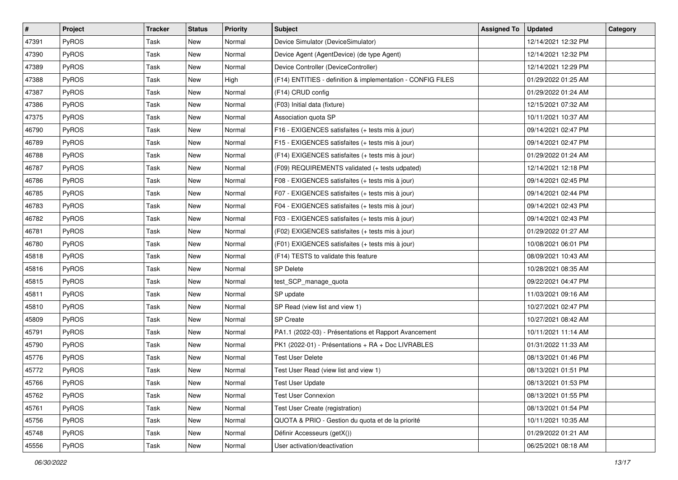| #     | Project      | <b>Tracker</b> | <b>Status</b> | <b>Priority</b> | <b>Subject</b>                                              | <b>Assigned To</b> | <b>Updated</b>      | Category |
|-------|--------------|----------------|---------------|-----------------|-------------------------------------------------------------|--------------------|---------------------|----------|
| 47391 | PyROS        | Task           | New           | Normal          | Device Simulator (DeviceSimulator)                          |                    | 12/14/2021 12:32 PM |          |
| 47390 | <b>PyROS</b> | Task           | New           | Normal          | Device Agent (AgentDevice) (de type Agent)                  |                    | 12/14/2021 12:32 PM |          |
| 47389 | <b>PyROS</b> | Task           | New           | Normal          | Device Controller (DeviceController)                        |                    | 12/14/2021 12:29 PM |          |
| 47388 | PyROS        | Task           | New           | High            | (F14) ENTITIES - definition & implementation - CONFIG FILES |                    | 01/29/2022 01:25 AM |          |
| 47387 | PyROS        | Task           | <b>New</b>    | Normal          | (F14) CRUD config                                           |                    | 01/29/2022 01:24 AM |          |
| 47386 | PyROS        | Task           | New           | Normal          | (F03) Initial data (fixture)                                |                    | 12/15/2021 07:32 AM |          |
| 47375 | PyROS        | Task           | New           | Normal          | Association quota SP                                        |                    | 10/11/2021 10:37 AM |          |
| 46790 | PyROS        | Task           | New           | Normal          | F16 - EXIGENCES satisfaites (+ tests mis à jour)            |                    | 09/14/2021 02:47 PM |          |
| 46789 | PyROS        | Task           | New           | Normal          | F15 - EXIGENCES satisfaites (+ tests mis à jour)            |                    | 09/14/2021 02:47 PM |          |
| 46788 | PyROS        | Task           | <b>New</b>    | Normal          | (F14) EXIGENCES satisfaites (+ tests mis à jour)            |                    | 01/29/2022 01:24 AM |          |
| 46787 | <b>PyROS</b> | Task           | New           | Normal          | (F09) REQUIREMENTS validated (+ tests udpated)              |                    | 12/14/2021 12:18 PM |          |
| 46786 | PyROS        | Task           | New           | Normal          | F08 - EXIGENCES satisfaites (+ tests mis à jour)            |                    | 09/14/2021 02:45 PM |          |
| 46785 | PyROS        | Task           | New           | Normal          | F07 - EXIGENCES satisfaites (+ tests mis à jour)            |                    | 09/14/2021 02:44 PM |          |
| 46783 | PyROS        | Task           | New           | Normal          | F04 - EXIGENCES satisfaites (+ tests mis à jour)            |                    | 09/14/2021 02:43 PM |          |
| 46782 | PyROS        | Task           | <b>New</b>    | Normal          | F03 - EXIGENCES satisfaites (+ tests mis à jour)            |                    | 09/14/2021 02:43 PM |          |
| 46781 | PyROS        | Task           | New           | Normal          | (F02) EXIGENCES satisfaites (+ tests mis à jour)            |                    | 01/29/2022 01:27 AM |          |
| 46780 | PyROS        | Task           | New           | Normal          | (F01) EXIGENCES satisfaites (+ tests mis à jour)            |                    | 10/08/2021 06:01 PM |          |
| 45818 | PyROS        | Task           | <b>New</b>    | Normal          | (F14) TESTS to validate this feature                        |                    | 08/09/2021 10:43 AM |          |
| 45816 | PyROS        | Task           | New           | Normal          | <b>SP Delete</b>                                            |                    | 10/28/2021 08:35 AM |          |
| 45815 | PyROS        | Task           | New           | Normal          | test_SCP_manage_quota                                       |                    | 09/22/2021 04:47 PM |          |
| 45811 | PyROS        | Task           | New           | Normal          | SP update                                                   |                    | 11/03/2021 09:16 AM |          |
| 45810 | PyROS        | Task           | New           | Normal          | SP Read (view list and view 1)                              |                    | 10/27/2021 02:47 PM |          |
| 45809 | PyROS        | Task           | New           | Normal          | <b>SP</b> Create                                            |                    | 10/27/2021 08:42 AM |          |
| 45791 | <b>PyROS</b> | Task           | New           | Normal          | PA1.1 (2022-03) - Présentations et Rapport Avancement       |                    | 10/11/2021 11:14 AM |          |
| 45790 | PyROS        | Task           | New           | Normal          | PK1 (2022-01) - Présentations + RA + Doc LIVRABLES          |                    | 01/31/2022 11:33 AM |          |
| 45776 | <b>PyROS</b> | Task           | New           | Normal          | <b>Test User Delete</b>                                     |                    | 08/13/2021 01:46 PM |          |
| 45772 | PyROS        | Task           | New           | Normal          | Test User Read (view list and view 1)                       |                    | 08/13/2021 01:51 PM |          |
| 45766 | PyROS        | Task           | New           | Normal          | <b>Test User Update</b>                                     |                    | 08/13/2021 01:53 PM |          |
| 45762 | PyROS        | Task           | New           | Normal          | Test User Connexion                                         |                    | 08/13/2021 01:55 PM |          |
| 45761 | PyROS        | Task           | New           | Normal          | Test User Create (registration)                             |                    | 08/13/2021 01:54 PM |          |
| 45756 | <b>PyROS</b> | Task           | New           | Normal          | QUOTA & PRIO - Gestion du quota et de la priorité           |                    | 10/11/2021 10:35 AM |          |
| 45748 | PyROS        | Task           | New           | Normal          | Définir Accesseurs (getX())                                 |                    | 01/29/2022 01:21 AM |          |
| 45556 | PyROS        | Task           | New           | Normal          | User activation/deactivation                                |                    | 06/25/2021 08:18 AM |          |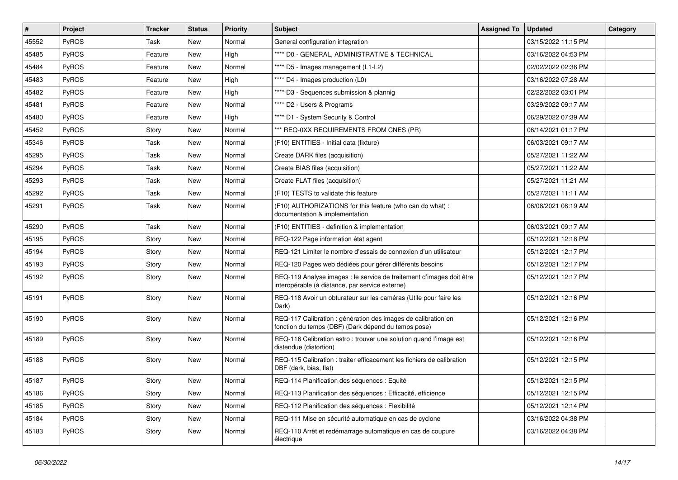| $\vert$ # | Project      | <b>Tracker</b> | <b>Status</b> | <b>Priority</b> | <b>Subject</b>                                                                                                          | <b>Assigned To</b> | <b>Updated</b>      | Category |
|-----------|--------------|----------------|---------------|-----------------|-------------------------------------------------------------------------------------------------------------------------|--------------------|---------------------|----------|
| 45552     | <b>PyROS</b> | Task           | <b>New</b>    | Normal          | General configuration integration                                                                                       |                    | 03/15/2022 11:15 PM |          |
| 45485     | PyROS        | Feature        | <b>New</b>    | High            | **** D0 - GENERAL, ADMINISTRATIVE & TECHNICAL                                                                           |                    | 03/16/2022 04:53 PM |          |
| 45484     | <b>PyROS</b> | Feature        | New           | Normal          | **** D5 - Images management (L1-L2)                                                                                     |                    | 02/02/2022 02:36 PM |          |
| 45483     | PyROS        | Feature        | New           | High            | **** D4 - Images production (L0)                                                                                        |                    | 03/16/2022 07:28 AM |          |
| 45482     | PyROS        | Feature        | <b>New</b>    | High            | **** D3 - Sequences submission & plannig                                                                                |                    | 02/22/2022 03:01 PM |          |
| 45481     | PyROS        | Feature        | <b>New</b>    | Normal          | **** D2 - Users & Programs                                                                                              |                    | 03/29/2022 09:17 AM |          |
| 45480     | PyROS        | Feature        | <b>New</b>    | High            | **** D1 - System Security & Control                                                                                     |                    | 06/29/2022 07:39 AM |          |
| 45452     | PyROS        | Story          | New           | Normal          | *** REQ-0XX REQUIREMENTS FROM CNES (PR)                                                                                 |                    | 06/14/2021 01:17 PM |          |
| 45346     | PyROS        | Task           | New           | Normal          | (F10) ENTITIES - Initial data (fixture)                                                                                 |                    | 06/03/2021 09:17 AM |          |
| 45295     | <b>PyROS</b> | Task           | <b>New</b>    | Normal          | Create DARK files (acquisition)                                                                                         |                    | 05/27/2021 11:22 AM |          |
| 45294     | PyROS        | Task           | New           | Normal          | Create BIAS files (acquisition)                                                                                         |                    | 05/27/2021 11:22 AM |          |
| 45293     | <b>PyROS</b> | Task           | <b>New</b>    | Normal          | Create FLAT files (acquisition)                                                                                         |                    | 05/27/2021 11:21 AM |          |
| 45292     | PyROS        | Task           | New           | Normal          | (F10) TESTS to validate this feature                                                                                    |                    | 05/27/2021 11:11 AM |          |
| 45291     | PyROS        | Task           | New           | Normal          | (F10) AUTHORIZATIONS for this feature (who can do what) :<br>documentation & implementation                             |                    | 06/08/2021 08:19 AM |          |
| 45290     | PyROS        | Task           | <b>New</b>    | Normal          | (F10) ENTITIES - definition & implementation                                                                            |                    | 06/03/2021 09:17 AM |          |
| 45195     | PyROS        | Story          | New           | Normal          | REQ-122 Page information état agent                                                                                     |                    | 05/12/2021 12:18 PM |          |
| 45194     | PyROS        | Story          | <b>New</b>    | Normal          | REQ-121 Limiter le nombre d'essais de connexion d'un utilisateur                                                        |                    | 05/12/2021 12:17 PM |          |
| 45193     | PyROS        | Story          | New           | Normal          | REQ-120 Pages web dédiées pour gérer différents besoins                                                                 |                    | 05/12/2021 12:17 PM |          |
| 45192     | PyROS        | Story          | New           | Normal          | REQ-119 Analyse images : le service de traitement d'images doit être<br>interopérable (à distance, par service externe) |                    | 05/12/2021 12:17 PM |          |
| 45191     | PyROS        | Story          | <b>New</b>    | Normal          | REQ-118 Avoir un obturateur sur les caméras (Utile pour faire les<br>Dark)                                              |                    | 05/12/2021 12:16 PM |          |
| 45190     | PyROS        | Story          | <b>New</b>    | Normal          | REQ-117 Calibration : génération des images de calibration en<br>fonction du temps (DBF) (Dark dépend du temps pose)    |                    | 05/12/2021 12:16 PM |          |
| 45189     | <b>PyROS</b> | Story          | <b>New</b>    | Normal          | REQ-116 Calibration astro : trouver une solution quand l'image est<br>distendue (distortion)                            |                    | 05/12/2021 12:16 PM |          |
| 45188     | PyROS        | Story          | New           | Normal          | REQ-115 Calibration: traiter efficacement les fichiers de calibration<br>DBF (dark, bias, flat)                         |                    | 05/12/2021 12:15 PM |          |
| 45187     | PyROS        | Story          | New           | Normal          | REQ-114 Planification des séquences : Equité                                                                            |                    | 05/12/2021 12:15 PM |          |
| 45186     | PyROS        | Story          | New           | Normal          | REQ-113 Planification des séquences : Efficacité, efficience                                                            |                    | 05/12/2021 12:15 PM |          |
| 45185     | PyROS        | Story          | New           | Normal          | REQ-112 Planification des séquences : Flexibilité                                                                       |                    | 05/12/2021 12:14 PM |          |
| 45184     | PyROS        | Story          | New           | Normal          | REQ-111 Mise en sécurité automatique en cas de cyclone                                                                  |                    | 03/16/2022 04:38 PM |          |
| 45183     | PyROS        | Story          | New           | Normal          | REQ-110 Arrêt et redémarrage automatique en cas de coupure<br>électrique                                                |                    | 03/16/2022 04:38 PM |          |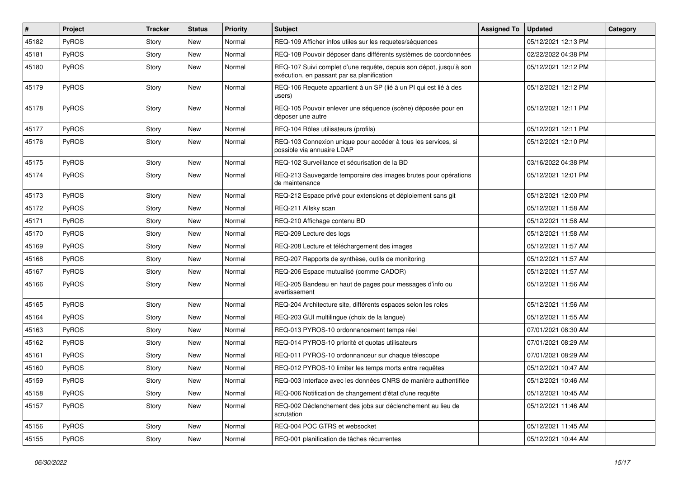| $\vert$ # | Project      | <b>Tracker</b> | <b>Status</b> | <b>Priority</b> | Subject                                                                                                          | <b>Assigned To</b> | <b>Updated</b>      | Category |
|-----------|--------------|----------------|---------------|-----------------|------------------------------------------------------------------------------------------------------------------|--------------------|---------------------|----------|
| 45182     | PyROS        | Story          | New           | Normal          | REQ-109 Afficher infos utiles sur les requetes/séquences                                                         |                    | 05/12/2021 12:13 PM |          |
| 45181     | PyROS        | Story          | <b>New</b>    | Normal          | REQ-108 Pouvoir déposer dans différents systèmes de coordonnées                                                  |                    | 02/22/2022 04:38 PM |          |
| 45180     | <b>PyROS</b> | Story          | New           | Normal          | REQ-107 Suivi complet d'une requête, depuis son dépot, jusqu'à son<br>exécution, en passant par sa planification |                    | 05/12/2021 12:12 PM |          |
| 45179     | PyROS        | Story          | <b>New</b>    | Normal          | REQ-106 Requete appartient à un SP (lié à un PI qui est lié à des<br>users)                                      |                    | 05/12/2021 12:12 PM |          |
| 45178     | PyROS        | Story          | New           | Normal          | REQ-105 Pouvoir enlever une séquence (scène) déposée pour en<br>déposer une autre                                |                    | 05/12/2021 12:11 PM |          |
| 45177     | PyROS        | Story          | <b>New</b>    | Normal          | REQ-104 Rôles utilisateurs (profils)                                                                             |                    | 05/12/2021 12:11 PM |          |
| 45176     | PyROS        | Story          | New           | Normal          | REQ-103 Connexion unique pour accéder à tous les services, si<br>possible via annuaire LDAP                      |                    | 05/12/2021 12:10 PM |          |
| 45175     | PyROS        | Story          | New           | Normal          | REQ-102 Surveillance et sécurisation de la BD                                                                    |                    | 03/16/2022 04:38 PM |          |
| 45174     | PyROS        | Story          | <b>New</b>    | Normal          | REQ-213 Sauvegarde temporaire des images brutes pour opérations<br>de maintenance                                |                    | 05/12/2021 12:01 PM |          |
| 45173     | PyROS        | Story          | New           | Normal          | REQ-212 Espace privé pour extensions et déploiement sans git                                                     |                    | 05/12/2021 12:00 PM |          |
| 45172     | PyROS        | Story          | <b>New</b>    | Normal          | REQ-211 Allsky scan                                                                                              |                    | 05/12/2021 11:58 AM |          |
| 45171     | PyROS        | Story          | New           | Normal          | REQ-210 Affichage contenu BD                                                                                     |                    | 05/12/2021 11:58 AM |          |
| 45170     | PyROS        | Story          | <b>New</b>    | Normal          | REQ-209 Lecture des logs                                                                                         |                    | 05/12/2021 11:58 AM |          |
| 45169     | PyROS        | Story          | New           | Normal          | REQ-208 Lecture et téléchargement des images                                                                     |                    | 05/12/2021 11:57 AM |          |
| 45168     | <b>PyROS</b> | Story          | New           | Normal          | REQ-207 Rapports de synthèse, outils de monitoring                                                               |                    | 05/12/2021 11:57 AM |          |
| 45167     | PyROS        | Story          | <b>New</b>    | Normal          | REQ-206 Espace mutualisé (comme CADOR)                                                                           |                    | 05/12/2021 11:57 AM |          |
| 45166     | PyROS        | Story          | New           | Normal          | REQ-205 Bandeau en haut de pages pour messages d'info ou<br>avertissement                                        |                    | 05/12/2021 11:56 AM |          |
| 45165     | PyROS        | Story          | <b>New</b>    | Normal          | REQ-204 Architecture site, différents espaces selon les roles                                                    |                    | 05/12/2021 11:56 AM |          |
| 45164     | PyROS        | Story          | New           | Normal          | REQ-203 GUI multilingue (choix de la langue)                                                                     |                    | 05/12/2021 11:55 AM |          |
| 45163     | PyROS        | Story          | New           | Normal          | REQ-013 PYROS-10 ordonnancement temps réel                                                                       |                    | 07/01/2021 08:30 AM |          |
| 45162     | PyROS        | Story          | New           | Normal          | REQ-014 PYROS-10 priorité et quotas utilisateurs                                                                 |                    | 07/01/2021 08:29 AM |          |
| 45161     | <b>PyROS</b> | Story          | New           | Normal          | REQ-011 PYROS-10 ordonnanceur sur chaque télescope                                                               |                    | 07/01/2021 08:29 AM |          |
| 45160     | PyROS        | Story          | <b>New</b>    | Normal          | REQ-012 PYROS-10 limiter les temps morts entre requêtes                                                          |                    | 05/12/2021 10:47 AM |          |
| 45159     | PyROS        | Story          | New           | Normal          | REQ-003 Interface avec les données CNRS de manière authentifiée                                                  |                    | 05/12/2021 10:46 AM |          |
| 45158     | PyROS        | Story          | New           | Normal          | REQ-006 Notification de changement d'état d'une requête                                                          |                    | 05/12/2021 10:45 AM |          |
| 45157     | PyROS        | Story          | New           | Normal          | REQ-002 Déclenchement des jobs sur déclenchement au lieu de<br>scrutation                                        |                    | 05/12/2021 11:46 AM |          |
| 45156     | PyROS        | Story          | New           | Normal          | REQ-004 POC GTRS et websocket                                                                                    |                    | 05/12/2021 11:45 AM |          |
| 45155     | PyROS        | Story          | New           | Normal          | REQ-001 planification de tâches récurrentes                                                                      |                    | 05/12/2021 10:44 AM |          |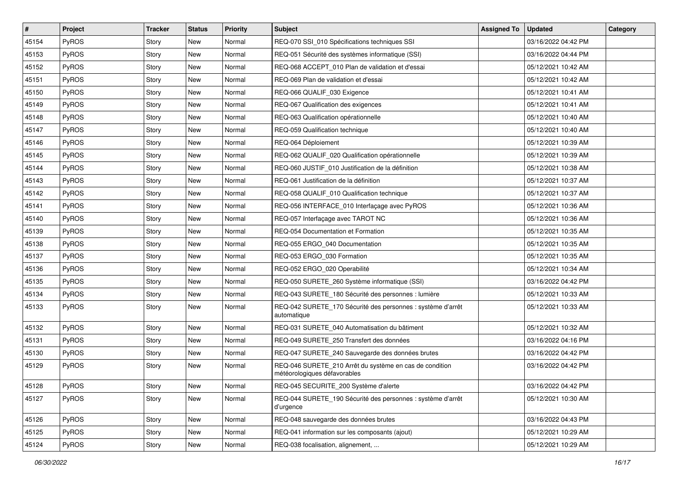| $\pmb{\sharp}$ | Project | <b>Tracker</b> | <b>Status</b> | <b>Priority</b> | Subject                                                                                 | <b>Assigned To</b> | <b>Updated</b>      | Category |
|----------------|---------|----------------|---------------|-----------------|-----------------------------------------------------------------------------------------|--------------------|---------------------|----------|
| 45154          | PyROS   | Story          | New           | Normal          | REQ-070 SSI_010 Spécifications techniques SSI                                           |                    | 03/16/2022 04:42 PM |          |
| 45153          | PyROS   | Story          | <b>New</b>    | Normal          | REQ-051 Sécurité des systèmes informatique (SSI)                                        |                    | 03/16/2022 04:44 PM |          |
| 45152          | PyROS   | Story          | New           | Normal          | REQ-068 ACCEPT_010 Plan de validation et d'essai                                        |                    | 05/12/2021 10:42 AM |          |
| 45151          | PyROS   | Story          | New           | Normal          | REQ-069 Plan de validation et d'essai                                                   |                    | 05/12/2021 10:42 AM |          |
| 45150          | PyROS   | Story          | New           | Normal          | REQ-066 QUALIF_030 Exigence                                                             |                    | 05/12/2021 10:41 AM |          |
| 45149          | PyROS   | Story          | New           | Normal          | REQ-067 Qualification des exigences                                                     |                    | 05/12/2021 10:41 AM |          |
| 45148          | PyROS   | Story          | New           | Normal          | REQ-063 Qualification opérationnelle                                                    |                    | 05/12/2021 10:40 AM |          |
| 45147          | PyROS   | Story          | New           | Normal          | REQ-059 Qualification technique                                                         |                    | 05/12/2021 10:40 AM |          |
| 45146          | PyROS   | Story          | New           | Normal          | REQ-064 Déploiement                                                                     |                    | 05/12/2021 10:39 AM |          |
| 45145          | PyROS   | Story          | New           | Normal          | REQ-062 QUALIF_020 Qualification opérationnelle                                         |                    | 05/12/2021 10:39 AM |          |
| 45144          | PyROS   | Story          | New           | Normal          | REQ-060 JUSTIF_010 Justification de la définition                                       |                    | 05/12/2021 10:38 AM |          |
| 45143          | PyROS   | Story          | New           | Normal          | REQ-061 Justification de la définition                                                  |                    | 05/12/2021 10:37 AM |          |
| 45142          | PyROS   | Story          | New           | Normal          | REQ-058 QUALIF_010 Qualification technique                                              |                    | 05/12/2021 10:37 AM |          |
| 45141          | PyROS   | Story          | New           | Normal          | REQ-056 INTERFACE_010 Interfaçage avec PyROS                                            |                    | 05/12/2021 10:36 AM |          |
| 45140          | PyROS   | Story          | New           | Normal          | REQ-057 Interfaçage avec TAROT NC                                                       |                    | 05/12/2021 10:36 AM |          |
| 45139          | PyROS   | Story          | New           | Normal          | REQ-054 Documentation et Formation                                                      |                    | 05/12/2021 10:35 AM |          |
| 45138          | PyROS   | Story          | New           | Normal          | REQ-055 ERGO 040 Documentation                                                          |                    | 05/12/2021 10:35 AM |          |
| 45137          | PyROS   | Story          | New           | Normal          | REQ-053 ERGO 030 Formation                                                              |                    | 05/12/2021 10:35 AM |          |
| 45136          | PyROS   | Story          | New           | Normal          | REQ-052 ERGO_020 Operabilité                                                            |                    | 05/12/2021 10:34 AM |          |
| 45135          | PyROS   | Story          | <b>New</b>    | Normal          | REQ-050 SURETE_260 Système informatique (SSI)                                           |                    | 03/16/2022 04:42 PM |          |
| 45134          | PyROS   | Story          | New           | Normal          | REQ-043 SURETE_180 Sécurité des personnes : lumière                                     |                    | 05/12/2021 10:33 AM |          |
| 45133          | PyROS   | Story          | New           | Normal          | REQ-042 SURETE_170 Sécurité des personnes : système d'arrêt<br>automatique              |                    | 05/12/2021 10:33 AM |          |
| 45132          | PyROS   | Story          | New           | Normal          | REQ-031 SURETE 040 Automatisation du bâtiment                                           |                    | 05/12/2021 10:32 AM |          |
| 45131          | PyROS   | Story          | New           | Normal          | REQ-049 SURETE 250 Transfert des données                                                |                    | 03/16/2022 04:16 PM |          |
| 45130          | PyROS   | Story          | New           | Normal          | REQ-047 SURETE_240 Sauvegarde des données brutes                                        |                    | 03/16/2022 04:42 PM |          |
| 45129          | PyROS   | Story          | New           | Normal          | REQ-046 SURETE 210 Arrêt du système en cas de condition<br>météorologiques défavorables |                    | 03/16/2022 04:42 PM |          |
| 45128          | PyROS   | Story          | New           | Normal          | REQ-045 SECURITE_200 Système d'alerte                                                   |                    | 03/16/2022 04:42 PM |          |
| 45127          | PyROS   | Story          | New           | Normal          | REQ-044 SURETE 190 Sécurité des personnes : système d'arrêt<br>d'urgence                |                    | 05/12/2021 10:30 AM |          |
| 45126          | PyROS   | Story          | New           | Normal          | REQ-048 sauvegarde des données brutes                                                   |                    | 03/16/2022 04:43 PM |          |
| 45125          | PyROS   | Story          | New           | Normal          | REQ-041 information sur les composants (ajout)                                          |                    | 05/12/2021 10:29 AM |          |
| 45124          | PyROS   | Story          | New           | Normal          | REQ-038 focalisation, alignement,                                                       |                    | 05/12/2021 10:29 AM |          |